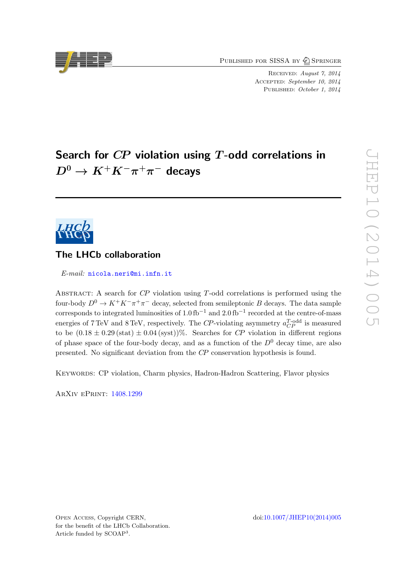PUBLISHED FOR SISSA BY 2 SPRINGER

Received: August 7, 2014 ACCEPTED: September 10, 2014 PUBLISHED: October 1, 2014

# Search for  $\mathbb{CP}$  violation using  $T$ -odd correlations in  $D^0 \to K^+ K^- \pi^+ \pi^-$  decays



# The LHCb collaboration

E-mail: [nicola.neri@mi.infn.it](mailto:nicola.neri@mi.infn.it)

ABSTRACT: A search for  $\mathbb{CP}$  violation using T-odd correlations is performed using the four-body  $D^0 \to K^+K^-\pi^+\pi^-$  decay, selected from semileptonic B decays. The data sample corresponds to integrated luminosities of 1.0 fb<sup>-1</sup> and 2.0 fb<sup>-1</sup> recorded at the centre-of-mass energies of 7 TeV and 8 TeV, respectively. The CP-violating asymmetry  $a_{CP}^{T-odd}$  is measured to be  $(0.18 \pm 0.29 \text{ (stat)} \pm 0.04 \text{ (syst)})\%$ . Searches for CP violation in different regions of phase space of the four-body decay, and as a function of the  $D^0$  decay time, are also presented. No significant deviation from the CP conservation hypothesis is found.

Keywords: CP violation, Charm physics, Hadron-Hadron Scattering, Flavor physics

ArXiv ePrint: [1408.1299](http://arxiv.org/abs/1408.1299)

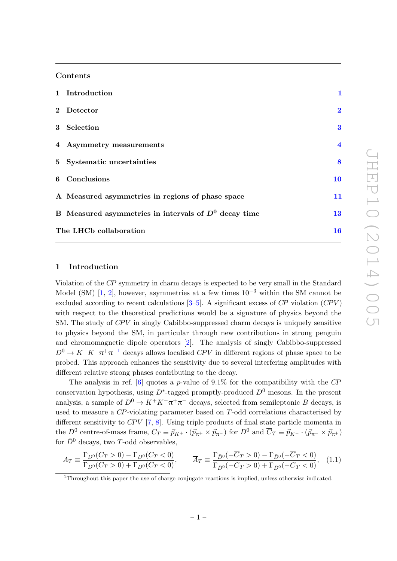#### Contents

| 1 Introduction                                          | $\mathbf{1}$            |
|---------------------------------------------------------|-------------------------|
| 2 Detector                                              | $\overline{2}$          |
| 3 Selection                                             | $\bf{3}$                |
| 4 Asymmetry measurements                                | $\overline{\mathbf{4}}$ |
| 5 Systematic uncertainties                              | 8                       |
| 6 Conclusions                                           | 10                      |
| A Measured asymmetries in regions of phase space        | 11                      |
| B Measured asymmetries in intervals of $D^0$ decay time | 13                      |
| The LHCb collaboration                                  | 16                      |

## <span id="page-1-0"></span>1 Introduction

Violation of the CP symmetry in charm decays is expected to be very small in the Standard Model (SM) [\[1,](#page-14-0) [2\]](#page-14-1), however, asymmetries at a few times  $10^{-3}$  within the SM cannot be excluded according to recent calculations  $[3-5]$  $[3-5]$ . A significant excess of CP violation (CPV) with respect to the theoretical predictions would be a signature of physics beyond the SM. The study of  $CPV$  in singly Cabibbo-suppressed charm decays is uniquely sensitive to physics beyond the SM, in particular through new contributions in strong penguin and chromomagnetic dipole operators [\[2\]](#page-14-1). The analysis of singly Cabibbo-suppressed  $D^0 \to K^+K^-\pi^+\pi^{-1}$  $D^0 \to K^+K^-\pi^+\pi^{-1}$  $D^0 \to K^+K^-\pi^+\pi^{-1}$  decays allows localised CPV in different regions of phase space to be probed. This approach enhances the sensitivity due to several interfering amplitudes with different relative strong phases contributing to the decay.

The analysis in ref.  $[6]$  quotes a p-value of 9.1% for the compatibility with the CP conservation hypothesis, using  $D^*$ -tagged promptly-produced  $D^0$  mesons. In the present analysis, a sample of  $D^0 \to K^+K^-\pi^+\pi^-$  decays, selected from semileptonic B decays, is used to measure a CP-violating parameter based on T-odd correlations characterised by different sensitivity to  $CPV$  [\[7,](#page-14-5) [8\]](#page-14-6). Using triple products of final state particle momenta in the  $D^0$  centre-of-mass frame,  $C_T \equiv \vec{p}_{K^+} \cdot (\vec{p}_{\pi^+} \times \vec{p}_{\pi^-})$  for  $D^0$  and  $\overline{C}_T \equiv \vec{p}_{K^-} \cdot (\vec{p}_{\pi^-} \times \vec{p}_{\pi^+})$ for  $\bar{D}^0$  decays, two T-odd observables,

$$
A_T \equiv \frac{\Gamma_{D^0}(C_T > 0) - \Gamma_{D^0}(C_T < 0)}{\Gamma_{D^0}(C_T > 0) + \Gamma_{D^0}(C_T < 0)}, \qquad \overline{A}_T \equiv \frac{\Gamma_{\bar{D}^0}(-\overline{C}_T > 0) - \Gamma_{\bar{D}^0}(-\overline{C}_T < 0)}{\Gamma_{\bar{D}^0}(-\overline{C}_T > 0) + \Gamma_{\bar{D}^0}(-\overline{C}_T < 0)}, \quad (1.1)
$$

<span id="page-1-1"></span><sup>1</sup>Throughout this paper the use of charge conjugate reactions is implied, unless otherwise indicated.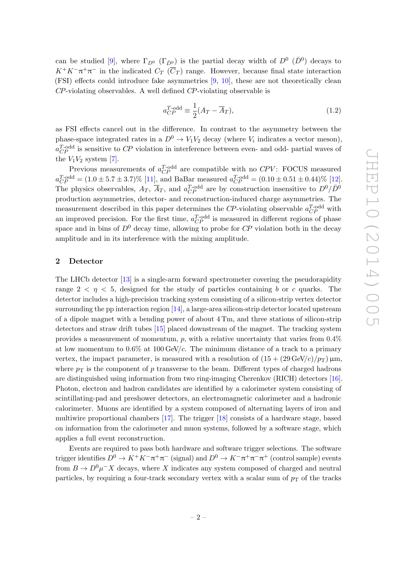can be studied [\[9\]](#page-14-7), where  $\Gamma_{D^0}$  ( $\Gamma_{\bar{D}^0}$ ) is the partial decay width of  $D^0$  ( $\bar{D}^0$ ) decays to  $K^+K^-\pi^+\pi^-$  in the indicated  $C_T(\overline{C}_T)$  range. However, because final state interaction (FSI) effects could introduce fake asymmetries [\[9,](#page-14-7) [10\]](#page-14-8), these are not theoretically clean CP-violating observables. A well defined CP-violating observable is

$$
a_{CP}^{T\text{-odd}} \equiv \frac{1}{2}(A_T - \overline{A}_T),\tag{1.2}
$$

as FSI effects cancel out in the difference. In contrast to the asymmetry between the phase-space integrated rates in a  $D^0 \to V_1 V_2$  decay (where  $V_i$  indicates a vector meson),  $a_{CP}^{T-odd}$  is sensitive to CP violation in interference between even- and odd- partial waves of the  $V_1V_2$  system [\[7\]](#page-14-5).

Previous measurements of  $a_{CP}^{T-odd}$  are compatible with no  $CPV$ : FOCUS measured  $a_{CP}^{T-odd} = (1.0 \pm 5.7 \pm 3.7)\%$  [\[11\]](#page-14-9), and BaBar measured  $a_{CP}^{T-odd} = (0.10 \pm 0.51 \pm 0.44)\%$  [\[12\]](#page-14-10). The physics observables,  $A_T$ ,  $\overline{A}_T$ , and  $a_{CP}^{T-odd}$  are by construction insensitive to  $D^0/\overline{D}^0$ production asymmetries, detector- and reconstruction-induced charge asymmetries. The measurement described in this paper determines the CP-violating observable  $a_{CP}^{T-odd}$  with an improved precision. For the first time,  $a_{CP}^{T-odd}$  is measured in different regions of phase space and in bins of  $D^0$  decay time, allowing to probe for  $\mathbb{CP}$  violation both in the decay amplitude and in its interference with the mixing amplitude.

#### <span id="page-2-0"></span>2 Detector

The LHCb detector [\[13\]](#page-14-11) is a single-arm forward spectrometer covering the pseudorapidity range  $2 < \eta < 5$ , designed for the study of particles containing b or c quarks. The detector includes a high-precision tracking system consisting of a silicon-strip vertex detector surrounding the pp interaction region [\[14\]](#page-14-12), a large-area silicon-strip detector located upstream of a dipole magnet with a bending power of about 4 Tm, and three stations of silicon-strip detectors and straw drift tubes [\[15\]](#page-14-13) placed downstream of the magnet. The tracking system provides a measurement of momentum,  $p$ , with a relative uncertainty that varies from  $0.4\%$ at low momentum to  $0.6\%$  at  $100 \text{ GeV}/c$ . The minimum distance of a track to a primary vertex, the impact parameter, is measured with a resolution of  $(15 + (29 \text{ GeV}/c)/p_T) \mu m$ , where  $p_T$  is the component of p transverse to the beam. Different types of charged hadrons are distinguished using information from two ring-imaging Cherenkov (RICH) detectors [\[16\]](#page-14-14). Photon, electron and hadron candidates are identified by a calorimeter system consisting of scintillating-pad and preshower detectors, an electromagnetic calorimeter and a hadronic calorimeter. Muons are identified by a system composed of alternating layers of iron and multiwire proportional chambers [\[17\]](#page-14-15). The trigger [\[18\]](#page-14-16) consists of a hardware stage, based on information from the calorimeter and muon systems, followed by a software stage, which applies a full event reconstruction.

Events are required to pass both hardware and software trigger selections. The software trigger identifies  $D^0 \to K^+K^-\pi^+\pi^-$  (signal) and  $D^0 \to K^-\pi^+\pi^-\pi^+$  (control sample) events from  $B \to D^0 \mu^- X$  decays, where X indicates any system composed of charged and neutral particles, by requiring a four-track secondary vertex with a scalar sum of  $p<sub>T</sub>$  of the tracks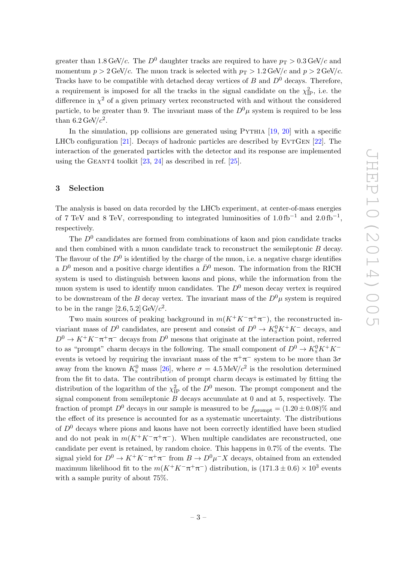greater than 1.8 GeV/c. The  $D^0$  daughter tracks are required to have  $p_T > 0.3$  GeV/c and momentum  $p > 2$  GeV/c. The muon track is selected with  $p_T > 1.2$  GeV/c and  $p > 2$  GeV/c. Tracks have to be compatible with detached decay vertices of  $B$  and  $D^0$  decays. Therefore, a requirement is imposed for all the tracks in the signal candidate on the  $\chi^2_{\rm IP}$ , i.e. the difference in  $\chi^2$  of a given primary vertex reconstructed with and without the considered particle, to be greater than 9. The invariant mass of the  $D^0\mu$  system is required to be less than 6.2 GeV/ $c^2$ .

In the simulation, pp collisions are generated using  $PYTHIA$  [\[19,](#page-14-17) [20\]](#page-14-18) with a specific LHCb configuration  $[21]$ . Decays of hadronic particles are described by EVTGEN  $[22]$ . The interaction of the generated particles with the detector and its response are implemented using the GEANT4 toolkit  $[23, 24]$  $[23, 24]$  as described in ref.  $[25]$ .

#### <span id="page-3-0"></span>3 Selection

The analysis is based on data recorded by the LHCb experiment, at center-of-mass energies of 7 TeV and 8 TeV, corresponding to integrated luminosities of  $1.0 \text{ fb}^{-1}$  and  $2.0 \text{ fb}^{-1}$ , respectively.

The  $D<sup>0</sup>$  candidates are formed from combinations of kaon and pion candidate tracks and then combined with a muon candidate track to reconstruct the semileptonic B decay. The flavour of the  $D^0$  is identified by the charge of the muon, i.e. a negative charge identifies a  $D^0$  meson and a positive charge identifies a  $\bar{D}^0$  meson. The information from the RICH system is used to distinguish between kaons and pions, while the information from the muon system is used to identify muon candidates. The  $D^0$  meson decay vertex is required to be downstream of the B decay vertex. The invariant mass of the  $D^0\mu$  system is required to be in the range  $[2.6, 5.2]$  GeV/ $c^2$ .

Two main sources of peaking background in  $m(K^+K^-\pi^+\pi^-)$ , the reconstructed inviariant mass of  $D^0$  candidates, are present and consist of  $D^0 \to K_S^0 K^+ K^-$  decays, and  $D^0 \to K^+K^-\pi^+\pi^-$  decays from  $D^0$  mesons that originate at the interaction point, referred to as "prompt" charm decays in the following. The small component of  $D^0 \to K_S^0 K^+ K^$ events is vetoed by requiring the invariant mass of the  $\pi^+\pi^-$  system to be more than  $3\sigma$ away from the known  $K_{\rm s}^0$  mass [\[26\]](#page-15-5), where  $\sigma = 4.5 \,\text{MeV}/c^2$  is the resolution determined from the fit to data. The contribution of prompt charm decays is estimated by fitting the distribution of the logarithm of the  $\chi^2_{\rm IP}$  of the  $D^0$  meson. The prompt component and the signal component from semileptonic  $B$  decays accumulate at 0 and at 5, respectively. The fraction of prompt  $D^0$  decays in our sample is measured to be  $f_{\text{prompt}} = (1.20 \pm 0.08)\%$  and the effect of its presence is accounted for as a systematic uncertainty. The distributions of  $D^{0}$  decays where pions and kaons have not been correctly identified have been studied and do not peak in  $m(K^+K^-\pi^+\pi^-)$ . When multiple candidates are reconstructed, one candidate per event is retained, by random choice. This happens in 0.7% of the events. The signal yield for  $D^0 \to K^+ K^- \pi^+ \pi^-$  from  $B \to D^0 \mu^- X$  decays, obtained from an extended maximum likelihood fit to the  $m(K^+K^-\pi^+\pi^-)$  distribution, is  $(171.3 \pm 0.6) \times 10^3$  events with a sample purity of about 75%.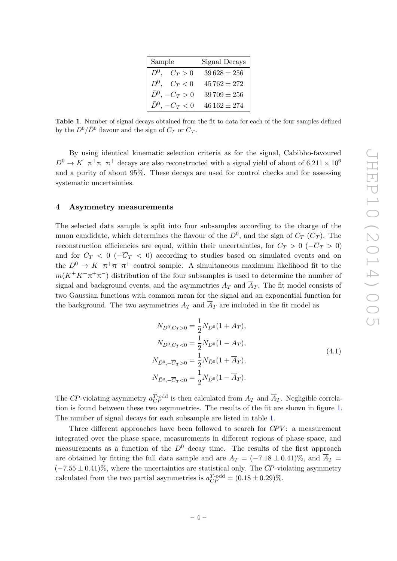| Sample                              | Signal Decays   |  |  |
|-------------------------------------|-----------------|--|--|
| $D^0$ .<br>$C_T>0$                  | $39628 \pm 256$ |  |  |
| $D^0$ .<br>$C_T < 0$                | $45762 \pm 272$ |  |  |
| $\bar{D}^0$ , $-\overline{C}_T > 0$ | $39709 \pm 256$ |  |  |
| $\bar{D}^0$ , $-\overline{C}_T < 0$ | $46162 \pm 274$ |  |  |

<span id="page-4-1"></span>Table 1. Number of signal decays obtained from the fit to data for each of the four samples defined by the  $D^0/\bar{D}^0$  flavour and the sign of  $C_T$  or  $\overline{C}_T$ .

By using identical kinematic selection criteria as for the signal, Cabibbo-favoured  $D^0 \to K^-\pi^+\pi^-\pi^+$  decays are also reconstructed with a signal yield of about of 6.211 × 10<sup>6</sup> and a purity of about 95%. These decays are used for control checks and for assessing systematic uncertainties.

#### <span id="page-4-0"></span>4 Asymmetry measurements

The selected data sample is split into four subsamples according to the charge of the muon candidate, which determines the flavour of the  $D^0$ , and the sign of  $C_T$  ( $\overline{C}_T$ ). The reconstruction efficiencies are equal, within their uncertainties, for  $C_T > 0$  ( $-\overline{C}_T > 0$ ) and for  $C_T < 0$  ( $-\overline{C}_T < 0$ ) according to studies based on simulated events and on the  $D^0 \to K^-\pi^+\pi^-\pi^+$  control sample. A simultaneous maximum likelihood fit to the  $m(K^+K^-\pi^+\pi^-)$  distribution of the four subsamples is used to determine the number of signal and background events, and the asymmetries  $A_T$  and  $\overline{A}_T$ . The fit model consists of two Gaussian functions with common mean for the signal and an exponential function for the background. The two asymmetries  $A_T$  and  $\overline{A}_T$  are included in the fit model as

$$
N_{D^0,C_T>0} = \frac{1}{2} N_{D^0} (1 + A_T),
$$
  
\n
$$
N_{D^0,C_T<0} = \frac{1}{2} N_{D^0} (1 - A_T),
$$
  
\n
$$
N_{\bar{D}^0,-\overline{C}_T>0} = \frac{1}{2} N_{\bar{D}^0} (1 + \overline{A}_T),
$$
  
\n
$$
N_{\bar{D}^0,-\overline{C}_T<0} = \frac{1}{2} N_{\bar{D}^0} (1 - \overline{A}_T).
$$
\n(4.1)

The CP-violating asymmetry  $a_{CP}^{T\text{-odd}}$  is then calculated from  $A_T$  and  $\overline{A}_T$ . Negligible correlation is found between these two asymmetries. The results of the fit are shown in figure [1.](#page-5-0) The number of signal decays for each subsample are listed in table [1.](#page-4-1)

Three different approaches have been followed to search for  $CPV$ : a measurement integrated over the phase space, measurements in different regions of phase space, and measurements as a function of the  $D^0$  decay time. The results of the first approach are obtained by fitting the full data sample and are  $A_T = (-7.18 \pm 0.41)\%$ , and  $\overline{A}_T =$  $(-7.55 \pm 0.41)\%$ , where the uncertainties are statistical only. The CP-violating asymmetry calculated from the two partial asymmetries is  $a_{CP}^{T-odd} = (0.18 \pm 0.29)\%$ .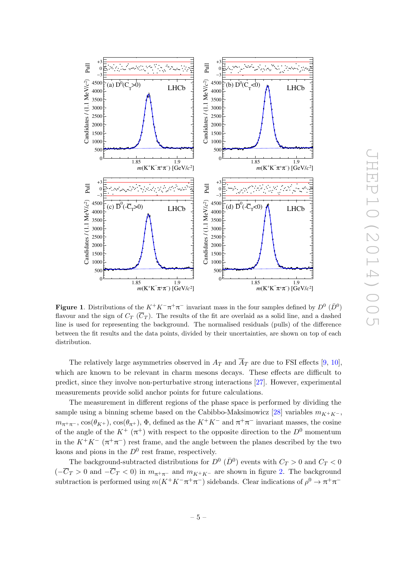

JHEP10(2014)005 FHEP10(2014)005

<span id="page-5-0"></span>**Figure 1.** Distributions of the  $K^+K^-\pi^+\pi^-$  invariant mass in the four samples defined by  $D^0$  ( $\bar{D}^0$ ) flavour and the sign of  $C_T(\overline{C}_T)$ . The results of the fit are overlaid as a solid line, and a dashed line is used for representing the background. The normalised residuals (pulls) of the difference between the fit results and the data points, divided by their uncertainties, are shown on top of each distribution.

The relatively large asymmetries observed in  $A_T$  and  $\overline{A}_T$  are due to FSI effects [\[9,](#page-14-7) [10\]](#page-14-8), which are known to be relevant in charm mesons decays. These effects are difficult to predict, since they involve non-perturbative strong interactions [\[27\]](#page-15-6). However, experimental measurements provide solid anchor points for future calculations.

The measurement in different regions of the phase space is performed by dividing the sample using a binning scheme based on the Cabibbo-Maksimowicz [\[28\]](#page-15-7) variables  $m_{K+K-}$ ,  $m_{\pi^+\pi^-}$ ,  $\cos(\theta_{K^+})$ ,  $\cos(\theta_{\pi^+})$ ,  $\Phi$ , defined as the  $K^+K^-$  and  $\pi^+\pi^-$  invariant masses, the cosine of the angle of the  $K^+$  ( $\pi^+$ ) with respect to the opposite direction to the  $D^0$  momentum in the  $K^+K^-$  ( $\pi^+\pi^-$ ) rest frame, and the angle between the planes described by the two kaons and pions in the  $D^0$  rest frame, respectively.

The background-subtracted distributions for  $D^0$  ( $\bar{D}^0$ ) events with  $C_T > 0$  and  $C_T < 0$  $(-\overline{C}_T > 0$  and  $-\overline{C}_T < 0$ ) in  $m_{\pi^+\pi^-}$  and  $m_{K^+K^-}$  are shown in figure [2.](#page-6-0) The background subtraction is performed using  $m(K^+K^-\pi^+\pi^-)$  sidebands. Clear indications of  $\rho^0 \to \pi^+\pi^-$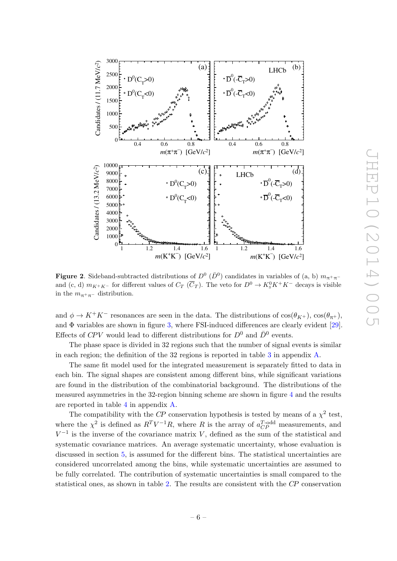

<span id="page-6-0"></span>**Figure 2.** Sideband-subtracted distributions of  $D^0$  ( $\bar{D}^0$ ) candidates in variables of (a, b)  $m_{\pi^+\pi^-}$ and (c, d)  $m_{K^+K^-}$  for different values of  $C_T$  ( $\overline{C}_T$ ). The veto for  $D^0 \to K_S^0 K^+ K^-$  decays is visible in the  $m_{\pi^+\pi^-}$  distribution.

and  $\phi \to K^+K^-$  resonances are seen in the data. The distributions of  $\cos(\theta_{K^+})$ ,  $\cos(\theta_{\pi^+})$ , and  $\Phi$  variables are shown in figure [3,](#page-7-0) where FSI-induced differences are clearly evident [\[29\]](#page-15-8). Effects of CPV would lead to different distributions for  $D^0$  and  $\bar{D}^0$  events.

The phase space is divided in 32 regions such that the number of signal events is similar in each region; the definition of the 32 regions is reported in table [3](#page-11-1) in appendix [A.](#page-11-0)

The same fit model used for the integrated measurement is separately fitted to data in each bin. The signal shapes are consistent among different bins, while significant variations are found in the distribution of the combinatorial background. The distributions of the measured asymmetries in the 32-region binning scheme are shown in figure [4](#page-8-1) and the results are reported in table [4](#page-12-0) in appendix [A.](#page-11-0)

The compatibility with the CP conservation hypothesis is tested by means of a  $\chi^2$  test, where the  $\chi^2$  is defined as  $R^T V^{-1} R$ , where R is the array of  $a_{CP}^{T-\text{odd}}$  measurements, and  $V^{-1}$  is the inverse of the covariance matrix V, defined as the sum of the statistical and systematic covariance matrices. An average systematic uncertainty, whose evaluation is discussed in section [5,](#page-8-0) is assumed for the different bins. The statistical uncertainties are considered uncorrelated among the bins, while systematic uncertainties are assumed to be fully correlated. The contribution of systematic uncertainties is small compared to the statistical ones, as shown in table [2.](#page-9-0) The results are consistent with the CP conservation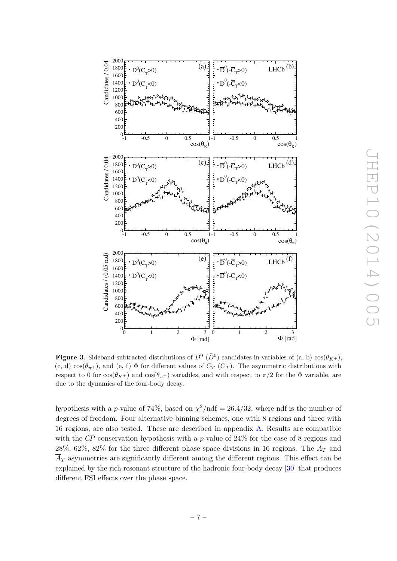

JHEP10(2014)005 THEP10(2014)005

<span id="page-7-0"></span>**Figure 3.** Sideband-subtracted distributions of  $D^0$  ( $\bar{D}^0$ ) candidates in variables of (a, b)  $\cos(\theta_{K^+})$ , (c, d) cos( $\theta_{\pi}$ +), and (e, f)  $\Phi$  for different values of  $C_T$  ( $\overline{C}_T$ ). The asymmetric distributions with respect to 0 for  $\cos(\theta_{K+})$  and  $\cos(\theta_{\pi+})$  variables, and with respect to  $\pi/2$  for the  $\Phi$  variable, are due to the dynamics of the four-body decay.

hypothesis with a *p*-value of 74%, based on  $\chi^2/\text{ndf} = 26.4/32$ , where ndf is the number of degrees of freedom. Four alternative binning schemes, one with 8 regions and three with 16 regions, are also tested. These are described in appendix [A.](#page-11-0) Results are compatible with the CP conservation hypothesis with a p-value of  $24\%$  for the case of 8 regions and 28%, 62%, 82% for the three different phase space divisions in 16 regions. The  $A_T$  and  $\overline{A}_T$  asymmetries are significantly different among the different regions. This effect can be explained by the rich resonant structure of the hadronic four-body decay [\[30\]](#page-15-9) that produces different FSI effects over the phase space.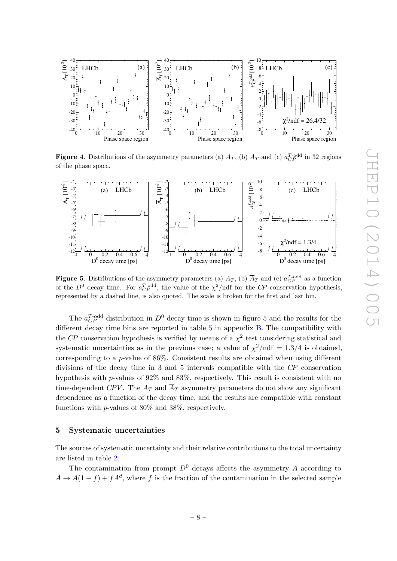

<span id="page-8-1"></span>**Figure 4.** Distributions of the asymmetry parameters (a)  $A_T$ , (b)  $\overline{A}_T$  and (c)  $a_{CP}^{T-odd}$  in 32 regions of the phase space.



<span id="page-8-2"></span>**Figure 5.** Distributions of the asymmetry parameters (a)  $A_T$ , (b)  $\overline{A}_T$  and (c)  $a_{CP}^{T-odd}$  as a function of the  $D^0$  decay time. For  $a_{CP}^{T-odd}$ , the value of the  $\chi^2$ /ndf for the CP conservation hypothesis, represented by a dashed line, is also quoted. The scale is broken for the first and last bin.

The  $a_{CP}^{T-odd}$  distribution in  $D^0$  decay time is shown in figure [5](#page-8-2) and the results for the different decay time bins are reported in table [5](#page-13-1) in appendix [B.](#page-13-0) The compatibility with the CP conservation hypothesis is verified by means of a  $\chi^2$  test considering statistical and systematic uncertainties as in the previous case; a value of  $\chi^2/\text{ndf} = 1.3/4$  is obtained, corresponding to a p-value of  $86\%$ . Consistent results are obtained when using different divisions of the decay time in 3 and 5 intervals compatible with the CP conservation hypothesis with p-values of 92% and 83%, respectively. This result is consistent with no time-dependent CPV. The  $A_T$  and  $\overline{A}_T$  asymmetry parameters do not show any significant dependence as a function of the decay time, and the results are compatible with constant functions with p-values of 80% and 38%, respectively.

#### <span id="page-8-0"></span>5 Systematic uncertainties

The sources of systematic uncertainty and their relative contributions to the total uncertainty are listed in table [2.](#page-9-0)

The contamination from prompt  $D^0$  decays affects the asymmetry A according to  $A \to A(1-f) + fA^d$ , where f is the fraction of the contamination in the selected sample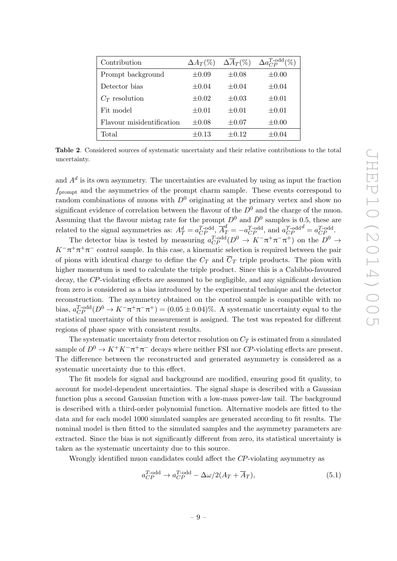| Contribution              | $\Delta A_T(\%)$ | $\Delta \overline{A}_T(\%)$ | $\Delta a_{CP}^{T-odd}(\%)$ |
|---------------------------|------------------|-----------------------------|-----------------------------|
| Prompt background         | $\pm 0.09$       | $\pm 0.08$                  | $\pm 0.00$                  |
| Detector bias             | $\pm 0.04$       | $+0.04$                     | $\pm 0.04$                  |
| $C_T$ resolution          | $\pm 0.02$       | $+0.03$                     | $\pm 0.01$                  |
| Fit model                 | $\pm 0.01$       | $+0.01$                     | $\pm 0.01$                  |
| Flavour misidentification | $\pm 0.08$       | $\pm 0.07$                  | $\pm 0.00$                  |
| Total                     | $\pm 0.13$       | $\pm 0.12$                  | $\pm 0.04$                  |

<span id="page-9-0"></span>Table 2. Considered sources of systematic uncertainty and their relative contributions to the total uncertainty.

and  $A<sup>d</sup>$  is its own asymmetry. The uncertainties are evaluated by using as input the fraction  $f_{\text{prompt}}$  and the asymmetries of the prompt charm sample. These events correspond to random combinations of muons with  $D^0$  originating at the primary vertex and show no significant evidence of correlation between the flavour of the  $D^0$  and the charge of the muon. Assuming that the flavour mistag rate for the prompt  $D^0$  and  $\bar{D}^0$  samples is 0.5, these are related to the signal asymmetries as:  $A_T^d = a_{CP}^{T\text{-odd}}$ ,  $\overline{A}_T^d = -a_{CP}^{T\text{-odd}}$ , and  $a_{CP}^{T\text{-odd}} = a_{CP}^{T\text{-odd}}$ .

The detector bias is tested by measuring  $a_{CP}^{T-\text{odd}}(D^0 \to K^-\pi^+\pi^-\pi^+)$  on the  $D^0 \to$  $K^-\pi^+\pi^+\pi^-$  control sample. In this case, a kinematic selection is required between the pair of pions with identical charge to define the  $C_T$  and  $\overline{C}_T$  triple products. The pion with higher momentum is used to calculate the triple product. Since this is a Cabibbo-favoured decay, the CP-violating effects are assumed to be negligible, and any significant deviation from zero is considered as a bias introduced by the experimental technique and the detector reconstruction. The asymmetry obtained on the control sample is compatible with no bias,  $a_{CP}^{T-odd}(D^0 \to K^-\pi^+\pi^-\pi^+) = (0.05 \pm 0.04)\%$ . A systematic uncertainty equal to the statistical uncertainty of this measurement is assigned. The test was repeated for different regions of phase space with consistent results.

The systematic uncertainty from detector resolution on  $C_T$  is estimated from a simulated sample of  $D^0 \to K^+K^-\pi^+\pi^-$  decays where neither FSI nor CP-violating effects are present. The difference between the reconstructed and generated asymmetry is considered as a systematic uncertainty due to this effect.

The fit models for signal and background are modified, ensuring good fit quality, to account for model-dependent uncertainties. The signal shape is described with a Gaussian function plus a second Gaussian function with a low-mass power-law tail. The background is described with a third-order polynomial function. Alternative models are fitted to the data and for each model 1000 simulated samples are generated according to fit results. The nominal model is then fitted to the simulated samples and the asymmetry parameters are extracted. Since the bias is not significantly different from zero, its statistical uncertainty is taken as the systematic uncertainty due to this source.

Wrongly identified muon candidates could affect the CP-violating asymmetry as

$$
a_{CP}^{T-odd} \to a_{CP}^{T-odd} - \Delta\omega/2(A_T + \overline{A}_T), \tag{5.1}
$$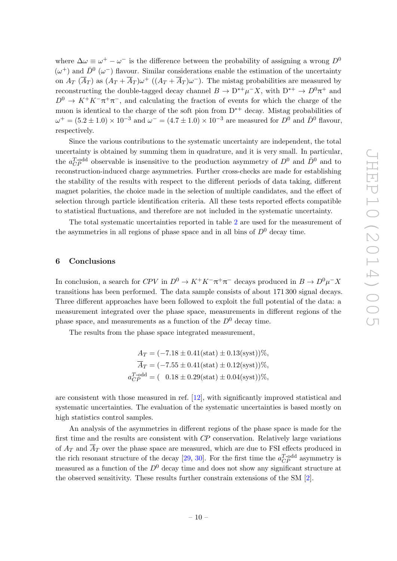where  $\Delta\omega \equiv \omega^+ - \omega^-$  is the difference between the probability of assigning a wrong  $D^0$  $(\omega^+)$  and  $\bar{D}^0$  ( $\omega^-$ ) flavour. Similar considerations enable the estimation of the uncertainty on  $A_T$  ( $\overline{A}_T$ ) as  $(A_T + \overline{A}_T)\omega^+$  ( $(A_T + \overline{A}_T)\omega^-$ ). The mistag probabilities are measured by reconstructing the double-tagged decay channel  $B \to D^{*+} \mu^- X$ , with  $D^{*+} \to D^0 \pi^+$  and  $D^0 \to K^+K^-\pi^+\pi^-$ , and calculating the fraction of events for which the charge of the muon is identical to the charge of the soft pion from  $D^{*+}$  decay. Mistag probabilities of  $\omega^+ = (5.2 \pm 1.0) \times 10^{-3}$  and  $\omega^- = (4.7 \pm 1.0) \times 10^{-3}$  are measured for  $D^0$  and  $\bar{D}^0$  flavour, respectively.

Since the various contributions to the systematic uncertainty are independent, the total uncertainty is obtained by summing them in quadrature, and it is very small. In particular, the  $a_{CP}^{T-odd}$  observable is insensitive to the production asymmetry of  $D^0$  and  $\bar{D}^0$  and to reconstruction-induced charge asymmetries. Further cross-checks are made for establishing the stability of the results with respect to the different periods of data taking, different magnet polarities, the choice made in the selection of multiple candidates, and the effect of selection through particle identification criteria. All these tests reported effects compatible to statistical fluctuations, and therefore are not included in the systematic uncertainty.

The total systematic uncertainties reported in table [2](#page-9-0) are used for the measurement of the asymmetries in all regions of phase space and in all bins of  $D^0$  decay time.

#### <span id="page-10-0"></span>6 Conclusions

In conclusion, a search for  $CPV$  in  $D^0 \to K^+K^-\pi^+\pi^-$  decays produced in  $B \to D^0\mu^-X$ transitions has been performed. The data sample consists of about 171 300 signal decays. Three different approaches have been followed to exploit the full potential of the data: a measurement integrated over the phase space, measurements in different regions of the phase space, and measurements as a function of the  $D^0$  decay time.

The results from the phase space integrated measurement,

$$
A_T = (-7.18 \pm 0.41 \text{(stat)} \pm 0.13 \text{(syst)})\%,
$$
  
\n
$$
\overline{A}_T = (-7.55 \pm 0.41 \text{(stat)} \pm 0.12 \text{(syst)})\%,
$$
  
\n
$$
a_{CP}^{T \text{-odd}} = (-0.18 \pm 0.29 \text{(stat)} \pm 0.04 \text{(syst)})\%,
$$

are consistent with those measured in ref. [\[12\]](#page-14-10), with significantly improved statistical and systematic uncertainties. The evaluation of the systematic uncertainties is based mostly on high statistics control samples.

An analysis of the asymmetries in different regions of the phase space is made for the first time and the results are consistent with CP conservation. Relatively large variations of  $A_T$  and  $\overline{A}_T$  over the phase space are measured, which are due to FSI effects produced in the rich resonant structure of the decay [\[29,](#page-15-8) [30\]](#page-15-9). For the first time the  $a_{CP}^{T-odd}$  asymmetry is measured as a function of the  $D^0$  decay time and does not show any significant structure at the observed sensitivity. These results further constrain extensions of the SM [\[2\]](#page-14-1).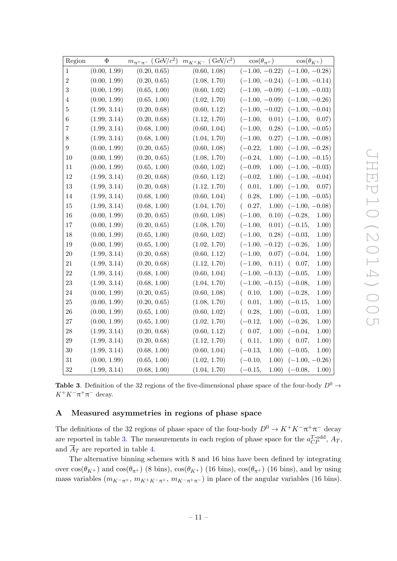| Region           | $\Phi$       | $m_{\pi^+\pi^-}$ (GeV/ $c^2$ ) | $m_{K^+K^-}$ (GeV/ $c^2$ ) | $\cos(\theta_{\pi^+})$     | $\cos(\theta_{K^+})$              |
|------------------|--------------|--------------------------------|----------------------------|----------------------------|-----------------------------------|
| $\mathbf{1}$     | (0.00, 1.99) | (0.20, 0.65)                   | (0.60, 1.08)               | $(-1.00, -0.22)$           | $(-1.00, -0.28)$                  |
| $\overline{2}$   | (0.00, 1.99) | (0.20, 0.65)                   | (1.08, 1.70)               |                            | $(-1.00, -0.24)$ $(-1.00, -0.14)$ |
| 3                | (0.00, 1.99) | (0.65, 1.00)                   | (0.60, 1.02)               |                            | $(-1.00, -0.09)$ $(-1.00, -0.03)$ |
| 4                | (0.00, 1.99) | (0.65, 1.00)                   | (1.02, 1.70)               |                            | $(-1.00, -0.09)$ $(-1.00, -0.26)$ |
| 5                | (1.99, 3.14) | (0.20, 0.68)                   | (0.60, 1.12)               | $(-1.00, -0.02)$           | $(-1.00, -0.04)$                  |
| 6                | (1.99, 3.14) | (0.20, 0.68)                   | (1.12, 1.70)               | $(-1.00,$<br>0.01)         | $(-1.00,$<br>0.07)                |
| 7                | (1.99, 3.14) | (0.68, 1.00)                   | (0.60, 1.04)               | $(-1.00,$<br>0.28)         | $(-1.00, -0.05)$                  |
| 8                | (1.99, 3.14) | (0.68, 1.00)                   | (1.04, 1.70)               | $(-1.00,$                  | $(0.27)$ $(-1.00, -0.08)$         |
| $\boldsymbol{9}$ | (0.00, 1.99) | (0.20, 0.65)                   | (0.60, 1.08)               | $(-0.22,$<br>1.00)         | $(-1.00, -0.28)$                  |
| 10               | (0.00, 1.99) | (0.20, 0.65)                   | (1.08, 1.70)               | $(-0.24,$<br>1.00)         | $(-1.00, -0.15)$                  |
| 11               | (0.00, 1.99) | (0.65, 1.00)                   | (0.60, 1.02)               | $(-0.09,$<br>1.00)         | $(-1.00, -0.03)$                  |
| 12               | (1.99, 3.14) | (0.20, 0.68)                   | (0.60, 1.12)               | $(-0.02,$<br>1.00)         | $(-1.00, -0.04)$                  |
| 13               | (1.99, 3.14) | (0.20, 0.68)                   | (1.12, 1.70)               | (0.01,<br>1.00)            | $(-1.00,$<br>0.07)                |
| 14               | (1.99, 3.14) | (0.68, 1.00)                   | (0.60, 1.04)               | 0.28,<br>1.00)<br>$\left($ | $(-1.00, -0.05)$                  |
| 15               | (1.99, 3.14) | (0.68, 1.00)                   | (1.04, 1.70)               | 0.27,<br>$\left($          | $(1.00)$ $(-1.00, -0.08)$         |
| 16               | (0.00, 1.99) | (0.20, 0.65)                   | (0.60, 1.08)               | $(-1.00,$                  | $(0.10)$ $(-0.28,$<br>1.00)       |
| 17               | (0.00, 1.99) | (0.20, 0.65)                   | (1.08, 1.70)               | $(-1.00,$<br>0.01)         | $(-0.15,$<br>1.00)                |
| 18               | (0.00, 1.99) | (0.65, 1.00)                   | (0.60, 1.02)               | $(-1.00,$<br>(0.28)        | $(-0.03,$<br>1.00)                |
| 19               | (0.00, 1.99) | (0.65, 1.00)                   | (1.02, 1.70)               | $(-1.00, -0.12)$           | $(-0.26,$<br>1.00)                |
| 20               | (1.99, 3.14) | (0.20, 0.68)                   | (0.60, 1.12)               | $(-1.00,$<br>0.07)         | 1.00)<br>$(-0.04,$                |
| 21               | (1.99, 3.14) | (0.20, 0.68)                   | (1.12, 1.70)               | $(-1.00,$<br>0.11)         | 1.00)<br>(0.07,                   |
| 22               | (1.99, 3.14) | (0.68, 1.00)                   | (0.60, 1.04)               | $(-1.00, -0.13)$           | 1.00)<br>$(-0.05,$                |
| 23               | (1.99, 3.14) | (0.68, 1.00)                   | (1.04, 1.70)               | $(-1.00, -0.15)$ $(-0.08,$ | 1.00)                             |
| 24               | (0.00, 1.99) | (0.20, 0.65)                   | (0.60, 1.08)               | 0.10,<br>1.00)<br>$\left($ | $(-0.28,$<br>1.00)                |
| 25               | (0.00, 1.99) | (0.20, 0.65)                   | (1.08, 1.70)               | 0.01,<br>1.00)             | $(-0.15,$<br>1.00)                |
| 26               | (0.00, 1.99) | (0.65, 1.00)                   | (0.60, 1.02)               | 1.00)<br>0.28,             | $(-0.03,$<br>1.00)                |
| 27               | (0.00, 1.99) | (0.65, 1.00)                   | (1.02, 1.70)               | $(-0.12,$<br>1.00)         | 1.00)<br>$(-0.26,$                |
| $\sqrt{28}$      | (1.99, 3.14) | (0.20, 0.68)                   | (0.60, 1.12)               | 0.07,<br>1.00)<br>$\left($ | $(-0.04,$<br>1.00)                |
| 29               | (1.99, 3.14) | (0.20, 0.68)                   | (1.12, 1.70)               | 1.00)<br>0.11,             | 1.00)<br>(0.07,                   |
| 30               | (1.99, 3.14) | (0.68, 1.00)                   | (0.60, 1.04)               | $(-0.13,$<br>1.00)         | $(-0.05,$<br>1.00)                |
| $31\,$           | (0.00, 1.99) | (0.65, 1.00)                   | (1.02, 1.70)               | $(-0.10,$<br>1.00)         | $(-1.00, -0.26)$                  |
| 32               | (1.99, 3.14) | (0.68, 1.00)                   | (1.04, 1.70)               | $(-0.15,$<br>1.00)         | $(-0.08,$<br>1.00)                |

<span id="page-11-1"></span>**Table 3.** Definition of the 32 regions of the five-dimensional phase space of the four-body  $D^0 \rightarrow$  $K^+K^-\pi^+\pi^-$  decay.

## <span id="page-11-0"></span>A Measured asymmetries in regions of phase space

The definitions of the 32 regions of phase space of the four-body  $D^0 \to K^+K^-\pi^+\pi^-$  decay are reported in table [3.](#page-11-1) The measurements in each region of phase space for the  $a_{CP}^{T-\text{odd}}$ ,  $A_T$ , and  $\overline{A}_T$  are reported in table [4.](#page-12-0)

The alternative binning schemes with 8 and 16 bins have been defined by integrating over  $\cos(\theta_{K^+})$  and  $\cos(\theta_{\pi^+})$  (8 bins),  $\cos(\theta_{K^+})$  (16 bins),  $\cos(\theta_{\pi^+})$  (16 bins), and by using mass variables  $(m_{K^-\pi^+}, m_{K^+K^-\pi^+}, m_{K^-\pi^+\pi^-})$  in place of the angular variables (16 bins).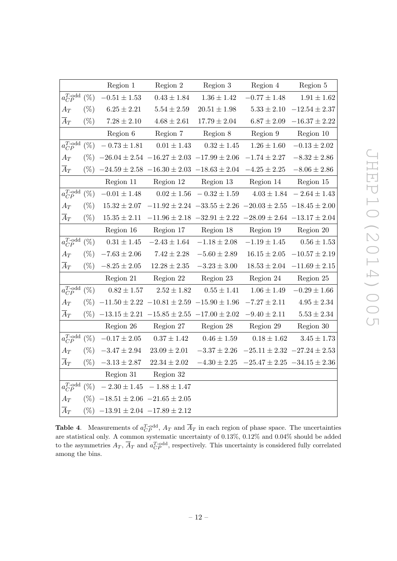|                         |         | Region 1         | Region 2                                              | Region 3                                                                | Region 4         | Region 5                            |
|-------------------------|---------|------------------|-------------------------------------------------------|-------------------------------------------------------------------------|------------------|-------------------------------------|
| $a_{CP}^{T-{\rm odd}}$  | $(\%)$  | $-0.51\pm1.53$   | $0.43 \pm 1.84$                                       | $1.36 \pm 1.42$                                                         | $-0.77 \pm 1.48$ | $1.91 \pm 1.62$                     |
| $A_T$                   | $(\%)$  | $6.25\pm2.21$    | $5.54 \pm 2.59$                                       | $20.51 \pm 1.98$                                                        | $5.33\pm2.10$    | $-12.54 \pm 2.37$                   |
| $\overline{A}_T$        | $(\%)$  | $7.28\pm2.10$    | $4.68\pm2.61$                                         | $17.79\pm2.04$                                                          | $6.87\pm2.09$    | $-16.37 \pm 2.22$                   |
|                         |         | Region 6         | Region 7                                              | Region 8                                                                | Region 9         | Region 10                           |
| $a_{CP}^{T-odd}$        | $(\% )$ | $-0.73 \pm 1.81$ | $0.01 \pm 1.43$                                       | $0.32 \pm 1.45$                                                         | $1.26 \pm 1.60$  | $-0.13 \pm 2.02$                    |
| $A_T$                   | $(\% )$ |                  | $-26.04 \pm 2.54$ $-16.27 \pm 2.03$ $-17.99 \pm 2.06$ |                                                                         | $-1.74 \pm 2.27$ | $-8.32\pm2.86$                      |
| $\overline{A}_T$        | $(\% )$ |                  | $-24.59 \pm 2.58$ $-16.30 \pm 2.03$ $-18.63 \pm 2.04$ |                                                                         | $-4.25 \pm 2.25$ | $-8.06 \pm 2.86$                    |
|                         |         | Region 11        | Region 12                                             | Region 13                                                               | Region 14        | Region 15                           |
| $a_{CP}^{T-{\rm odd}}$  | $(\%)$  | $-0.01 \pm 1.48$ | $0.02 \pm 1.56$                                       | $-0.32 \pm 1.59$                                                        |                  | $4.03 \pm 1.84$ - $2.64 \pm 1.43$   |
| $A_T$                   | $(\% )$ | $15.32 \pm 2.07$ |                                                       | $-11.92 \pm 2.24$ $-33.55 \pm 2.26$ $-20.03 \pm 2.55$ $-18.45 \pm 2.00$ |                  |                                     |
| $A_T$                   | $(\%)$  | $15.35 \pm 2.11$ |                                                       | $-11.96 \pm 2.18$ $-32.91 \pm 2.22$ $-28.09 \pm 2.64$ $-13.17 \pm 2.04$ |                  |                                     |
|                         |         | Region 16        | Region 17                                             | Region 18                                                               | Region 19        | Region 20                           |
| $a_{CP}^{T\text{-odd}}$ | $(\%)$  | $0.31 \pm 1.45$  | $-2.43 \pm 1.64$                                      | $-1.18 \pm 2.08$                                                        | $-1.19 \pm 1.45$ | $0.56 \pm 1.53$                     |
| $A_T$                   | $(\%)$  | $-7.63\pm2.06$   | $7.42 \pm 2.28$                                       | $-5.60 \pm 2.89$                                                        | $16.15 \pm 2.05$ | $-10.57 \pm 2.19$                   |
| $\overline{A}_T$        | $(\%)$  | $-8.25\pm2.05$   | $12.28 \pm 2.35$                                      | $-3.23 \pm 3.00$                                                        | $18.53 \pm 2.04$ | $-11.69 \pm 2.15$                   |
|                         |         | Region 21        | Region 22                                             | Region 23                                                               | Region 24        | Region 25                           |
| $a_{CP}^{T-{\rm odd}}$  | $(\% )$ | $0.82 \pm 1.57$  | $2.52\pm1.82$                                         | $0.55 \pm 1.41$                                                         | $1.06 \pm 1.49$  | $-0.29 \pm 1.66$                    |
| $A_T$                   | $(\% )$ |                  | $-11.50 \pm 2.22$ $-10.81 \pm 2.59$ $-15.90 \pm 1.96$ |                                                                         | $-7.27 \pm 2.11$ | $4.95\pm2.34$                       |
| $\overline{A}_T$        | $(\% )$ |                  | $-13.15 \pm 2.21$ $-15.85 \pm 2.55$ $-17.00 \pm 2.02$ |                                                                         | $-9.40 \pm 2.11$ | $5.53 \pm 2.34$                     |
|                         |         | Region 26        | Region 27                                             | Region 28                                                               | Region 29        | Region 30                           |
| $a_{CP}^{T\text{-odd}}$ | $(\% )$ | $-0.17 \pm 2.05$ | $0.37 \pm 1.42$                                       | $0.46 \pm 1.59$                                                         | $0.18 \pm 1.62$  | $3.45 \pm 1.73$                     |
| $A_T$                   | $(\% )$ | $-3.47\pm2.94$   | $23.09 \pm 2.01$                                      | $-3.37\pm2.26$                                                          |                  | $-25.11 \pm 2.32$ $-27.24 \pm 2.53$ |
| $A_T$                   | $(\%)$  | $-3.13\pm2.87$   | $22.34 \pm 2.02$                                      | $-4.30 \pm 2.25$                                                        |                  | $-25.47 \pm 2.25$ $-34.15 \pm 2.36$ |
|                         |         | Region 31        | Region 32                                             |                                                                         |                  |                                     |
| $a_{CP}^{T\text{-odd}}$ | $(\% )$ | $-2.30 \pm 1.45$ | $-1.88 \pm 1.47$                                      |                                                                         |                  |                                     |
| $A_T$                   | $(\% )$ |                  | $-18.51 \pm 2.06$ $-21.65 \pm 2.05$                   |                                                                         |                  |                                     |
| $\overline{A}_T$        | $(\%)$  |                  | $-13.91 \pm 2.04$ $-17.89 \pm 2.12$                   |                                                                         |                  |                                     |

<span id="page-12-0"></span>**Table 4.** Measurements of  $a_{CP}^{T-odd}$ ,  $A_T$  and  $\overline{A}_T$  in each region of phase space. The uncertainties are statistical only. A common systematic uncertainty of 0.13%, 0.12% and 0.04% should be added to the asymmetries  $A_T$ ,  $\overline{A}_T$  and  $a_{CP}^{T-odd}$ , respectively. This uncertainty is considered fully correlated among the bins.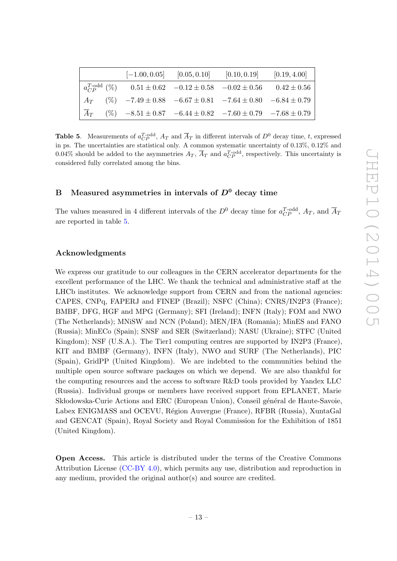|  | $[-1.00, 0.05]$ $[0.05, 0.10]$ $[0.10, 0.19]$ $[0.19, 4.00]$                             |  |
|--|------------------------------------------------------------------------------------------|--|
|  | $a_{CP}^{T-odd}$ (%) $0.51 \pm 0.62$ $-0.12 \pm 0.58$ $-0.02 \pm 0.56$ $0.42 \pm 0.56$   |  |
|  | $A_T$ (%) $-7.49 \pm 0.88$ $-6.67 \pm 0.81$ $-7.64 \pm 0.80$ $-6.84 \pm 0.79$            |  |
|  | $\overline{A}_T$ (%) $-8.51 \pm 0.87$ $-6.44 \pm 0.82$ $-7.60 \pm 0.79$ $-7.68 \pm 0.79$ |  |

<span id="page-13-1"></span>**Table 5.** Measurements of  $a_{CP}^{T-odd}$ ,  $A_T$  and  $\overline{A}_T$  in different intervals of  $D^0$  decay time, t, expressed in ps. The uncertainties are statistical only. A common systematic uncertainty of 0.13%, 0.12% and 0.04% should be added to the asymmetries  $A_T$ ,  $\overline{A}_T$  and  $a_{CP}^{T-odd}$ , respectively. This uncertainty is considered fully correlated among the bins.

## <span id="page-13-0"></span>B Measured asymmetries in intervals of  $D^0$  decay time

The values measured in 4 different intervals of the  $D^0$  decay time for  $a_{CP}^{T-\text{odd}}$ ,  $A_T$ , and  $\overline{A}_T$ are reported in table [5.](#page-13-1)

#### Acknowledgments

We express our gratitude to our colleagues in the CERN accelerator departments for the excellent performance of the LHC. We thank the technical and administrative staff at the LHCb institutes. We acknowledge support from CERN and from the national agencies: CAPES, CNPq, FAPERJ and FINEP (Brazil); NSFC (China); CNRS/IN2P3 (France); BMBF, DFG, HGF and MPG (Germany); SFI (Ireland); INFN (Italy); FOM and NWO (The Netherlands); MNiSW and NCN (Poland); MEN/IFA (Romania); MinES and FANO (Russia); MinECo (Spain); SNSF and SER (Switzerland); NASU (Ukraine); STFC (United Kingdom); NSF (U.S.A.). The Tier1 computing centres are supported by IN2P3 (France), KIT and BMBF (Germany), INFN (Italy), NWO and SURF (The Netherlands), PIC (Spain), GridPP (United Kingdom). We are indebted to the communities behind the multiple open source software packages on which we depend. We are also thankful for the computing resources and the access to software R&D tools provided by Yandex LLC (Russia). Individual groups or members have received support from EPLANET, Marie Skłodowska-Curie Actions and ERC (European Union), Conseil général de Haute-Savoie, Labex ENIGMASS and OCEVU, Région Auvergne (France), RFBR (Russia), XuntaGal and GENCAT (Spain), Royal Society and Royal Commission for the Exhibition of 1851 (United Kingdom).

Open Access. This article is distributed under the terms of the Creative Commons Attribution License [\(CC-BY 4.0\)](http://creativecommons.org/licenses/by/4.0/), which permits any use, distribution and reproduction in any medium, provided the original author(s) and source are credited.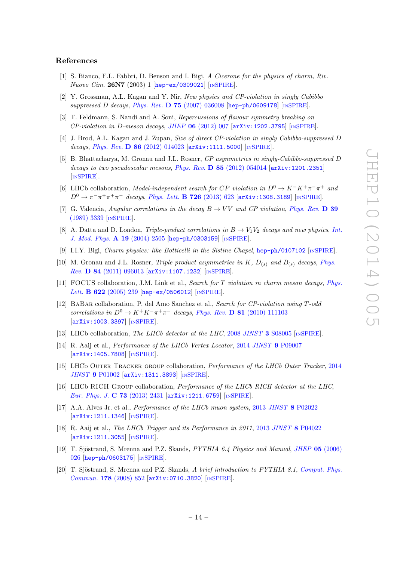#### References

- <span id="page-14-0"></span>[1] S. Bianco, F.L. Fabbri, D. Benson and I. Bigi, A Cicerone for the physics of charm, Riv. Nuovo Cim. 26N7 (2003) 1 [[hep-ex/0309021](http://arxiv.org/abs/hep-ex/0309021)] [IN[SPIRE](http://inspirehep.net/search?p=find+EPRINT+hep-ex/0309021)].
- <span id="page-14-1"></span>[2] Y. Grossman, A.L. Kagan and Y. Nir, New physics and CP-violation in singly Cabibbo suppressed D decays, Phys. Rev. D 75 [\(2007\) 036008](http://dx.doi.org/10.1103/PhysRevD.75.036008) [[hep-ph/0609178](http://arxiv.org/abs/hep-ph/0609178)] [IN[SPIRE](http://inspirehep.net/search?p=find+EPRINT+hep-ph/0609178)].
- <span id="page-14-2"></span>[3] T. Feldmann, S. Nandi and A. Soni, Repercussions of flavour symmetry breaking on  $CP$ -violation in D-meson decays, JHEP 06 [\(2012\) 007](http://dx.doi.org/10.1007/JHEP06(2012)007)  $[\text{arXiv}:1202.3795]$  [IN[SPIRE](http://inspirehep.net/search?p=find+EPRINT+arXiv:1202.3795)].
- [4] J. Brod, A.L. Kagan and J. Zupan, Size of direct CP-violation in singly Cabibbo-suppressed D decays, Phys. Rev. D  $86$  [\(2012\) 014023](http://dx.doi.org/10.1103/PhysRevD.86.014023)  $\text{arXiv:1111.5000}$  $\text{arXiv:1111.5000}$  $\text{arXiv:1111.5000}$  [IN[SPIRE](http://inspirehep.net/search?p=find+EPRINT+arXiv:1111.5000)].
- <span id="page-14-3"></span>[5] B. Bhattacharya, M. Gronau and J.L. Rosner, CP asymmetries in singly-Cabibbo-suppressed D decays to two pseudoscalar mesons, Phys. Rev.  $D$  85 [\(2012\) 054014](http://dx.doi.org/10.1103/PhysRevD.85.054014) [[arXiv:1201.2351](http://arxiv.org/abs/1201.2351)] [IN[SPIRE](http://inspirehep.net/search?p=find+EPRINT+arXiv:1201.2351)].
- <span id="page-14-4"></span>[6] LHCb collaboration, Model-independent search for CP violation in  $D^0 \to K^-K^+\pi^-\pi^+$  and  $D^0 \to \pi^- \pi^+ \pi^+ \pi^-$  decays, [Phys. Lett.](http://dx.doi.org/10.1016/j.physletb.2013.09.011) **B 726** (2013) 623 [[arXiv:1308.3189](http://arxiv.org/abs/1308.3189)] [IN[SPIRE](http://inspirehep.net/search?p=find+EPRINT+arXiv:1308.3189)].
- <span id="page-14-5"></span>[7] G. Valencia, Angular correlations in the decay  $B \to VV$  and CP violation, [Phys. Rev.](http://dx.doi.org/10.1103/PhysRevD.39.3339) D 39 [\(1989\) 3339](http://dx.doi.org/10.1103/PhysRevD.39.3339) [IN[SPIRE](http://inspirehep.net/search?p=find+J+Phys.Rev.,D39,3339)].
- <span id="page-14-6"></span>[8] A. Datta and D. London, Triple-product correlations in  $B \to V_1V_2$  decays and new physics, [Int.](http://dx.doi.org/10.1142/S0217751X04018300) [J. Mod. Phys.](http://dx.doi.org/10.1142/S0217751X04018300) A 19 (2004) 2505 [[hep-ph/0303159](http://arxiv.org/abs/hep-ph/0303159)] [IN[SPIRE](http://inspirehep.net/search?p=find+EPRINT+hep-ph/0303159)].
- <span id="page-14-7"></span>[9] I.I.Y. Bigi, Charm physics: like Botticelli in the Sistine Chapel, [hep-ph/0107102](http://arxiv.org/abs/hep-ph/0107102) [IN[SPIRE](http://inspirehep.net/search?p=find+EPRINT+hep-ph/0107102)].
- <span id="page-14-8"></span>[10] M. Gronau and J.L. Rosner, Triple product asymmetries in K,  $D_{(s)}$  and  $B_{(s)}$  decays, [Phys.](http://dx.doi.org/10.1103/PhysRevD.84.096013) Rev. D 84 [\(2011\) 096013](http://dx.doi.org/10.1103/PhysRevD.84.096013) [[arXiv:1107.1232](http://arxiv.org/abs/1107.1232)] [IN[SPIRE](http://inspirehep.net/search?p=find+EPRINT+arXiv:1107.1232)].
- <span id="page-14-9"></span>[11] FOCUS collaboration, J.M. Link et al., Search for T violation in charm meson decays, [Phys.](http://dx.doi.org/10.1016/j.physletb.2005.07.024) Lett. **B** 622 [\(2005\) 239](http://dx.doi.org/10.1016/j.physletb.2005.07.024) [[hep-ex/0506012](http://arxiv.org/abs/hep-ex/0506012)] [IN[SPIRE](http://inspirehep.net/search?p=find+EPRINT+hep-ex/0506012)].
- <span id="page-14-10"></span>[12] BaBar collaboration, P. del Amo Sanchez et al., Search for CP-violation using T-odd correlations in  $D^0 \to K^+K^-\pi^+\pi^-$  decays, Phys. Rev. **D** 81 [\(2010\) 111103](http://dx.doi.org/10.1103/PhysRevD.81.111103) [[arXiv:1003.3397](http://arxiv.org/abs/1003.3397)] [IN[SPIRE](http://inspirehep.net/search?p=find+EPRINT+arXiv:1003.3397)].
- <span id="page-14-11"></span>[13] LHCb collaboration, The LHCb detector at the LHC, 2008 JINST 3 [S08005](http://dx.doi.org/10.1088/1748-0221/3/08/S08005) [IN[SPIRE](http://inspirehep.net/search?p=find+J+JINST,3,S08005)].
- <span id="page-14-12"></span>[14] R. Aaij et al., Performance of the LHCb Vertex Locator, 2014 JINST 9 [P09007](http://dx.doi.org/10.1088/1748-0221/9/09/P09007) [[arXiv:1405.7808](http://arxiv.org/abs/1405.7808)] [IN[SPIRE](http://inspirehep.net/search?p=find+EPRINT+arXiv:1405.7808)].
- <span id="page-14-13"></span>[15] LHCb Outer Tracker group collaboration, Performance of the LHCb Outer Tracker, [2014](http://dx.doi.org/10.1088/1748-0221/9/01/P01002) JINST 9 [P01002](http://dx.doi.org/10.1088/1748-0221/9/01/P01002) [[arXiv:1311.3893](http://arxiv.org/abs/1311.3893)] [IN[SPIRE](http://inspirehep.net/search?p=find+EPRINT+arXiv:1311.3893)].
- <span id="page-14-14"></span>[16] LHCb RICH Group collaboration, Performance of the LHCb RICH detector at the LHC, [Eur. Phys. J.](http://dx.doi.org/10.1140/epjc/s10052-013-2431-9) C 73 (2013) 2431 [[arXiv:1211.6759](http://arxiv.org/abs/1211.6759)] [IN[SPIRE](http://inspirehep.net/search?p=find+EPRINT+arXiv:1211.6759)].
- <span id="page-14-15"></span>[17] A.A. Alves Jr. et al., Performance of the LHCb muon system, 2013 JINST 8 [P02022](http://dx.doi.org/10.1088/1748-0221/8/02/P02022) [[arXiv:1211.1346](http://arxiv.org/abs/1211.1346)] [IN[SPIRE](http://inspirehep.net/search?p=find+EPRINT+arXiv:1211.1346)].
- <span id="page-14-16"></span>[18] R. Aaij et al., *The LHCb Trigger and its Performance in 2011*, 2013 *JINST* 8 [P04022](http://dx.doi.org/10.1088/1748-0221/8/04/P04022) [[arXiv:1211.3055](http://arxiv.org/abs/1211.3055)] [IN[SPIRE](http://inspirehep.net/search?p=find+EPRINT+arXiv:1211.3055)].
- <span id="page-14-17"></span>[19] T. Sjöstrand, S. Mrenna and P.Z. Skands, *PYTHIA 6.4 Physics and Manual, JHEP* 05 [\(2006\)](http://dx.doi.org/10.1088/1126-6708/2006/05/026) [026](http://dx.doi.org/10.1088/1126-6708/2006/05/026) [[hep-ph/0603175](http://arxiv.org/abs/hep-ph/0603175)] [IN[SPIRE](http://inspirehep.net/search?p=find+EPRINT+hep-ph/0603175)].
- <span id="page-14-18"></span>[20] T. Sjöstrand, S. Mrenna and P.Z. Skands, A brief introduction to PYTHIA 8.1, [Comput. Phys.](http://dx.doi.org/10.1016/j.cpc.2008.01.036) Commun. 178 [\(2008\) 852](http://dx.doi.org/10.1016/j.cpc.2008.01.036) [[arXiv:0710.3820](http://arxiv.org/abs/0710.3820)] [IN[SPIRE](http://inspirehep.net/search?p=find+EPRINT+arXiv:0710.3820)].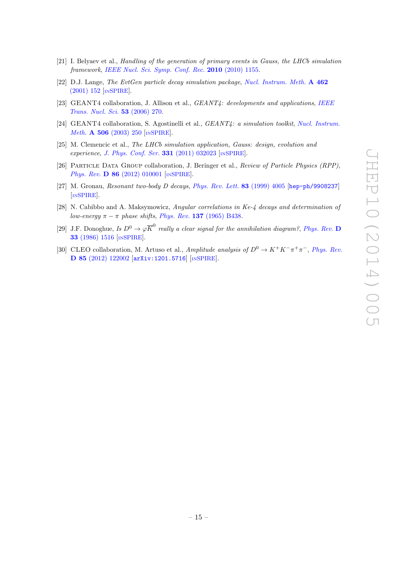- <span id="page-15-0"></span>[21] I. Belyaev et al., Handling of the generation of primary events in Gauss, the LHCb simulation framework, [IEEE Nucl. Sci. Symp. Conf. Rec.](http://dx.doi.org/10.1109/NSSMIC.2010.5873949) 2010 (2010) 1155.
- <span id="page-15-1"></span>[22] D.J. Lange, The EvtGen particle decay simulation package, [Nucl. Instrum. Meth.](http://dx.doi.org/10.1016/S0168-9002(01)00089-4) A 462 [\(2001\) 152](http://dx.doi.org/10.1016/S0168-9002(01)00089-4) [IN[SPIRE](http://inspirehep.net/search?p=find+J+Nucl.Instrum.Meth.,A462,152)].
- <span id="page-15-2"></span>[23] GEANT4 collaboration, J. Allison et al., GEANT4: developments and applications, [IEEE](http://dx.doi.org/10.1109/TNS.2006.869826) [Trans. Nucl. Sci.](http://dx.doi.org/10.1109/TNS.2006.869826) 53 (2006) 270.
- <span id="page-15-3"></span>[24] GEANT4 collaboration, S. Agostinelli et al., GEANT4: a simulation toolkit, [Nucl. Instrum.](http://dx.doi.org/10.1016/S0168-9002(03)01368-8) Meth. **A 506** [\(2003\) 250](http://dx.doi.org/10.1016/S0168-9002(03)01368-8) [IN[SPIRE](http://inspirehep.net/search?p=find+J+Nucl.Instrum.Meth.,A506,250)].
- <span id="page-15-4"></span>[25] M. Clemencic et al., The LHCb simulation application, Gauss: design, evolution and experience, [J. Phys. Conf. Ser.](http://dx.doi.org/10.1088/1742-6596/331/3/032023) 331 (2011) 032023 [IN[SPIRE](http://inspirehep.net/search?p=find+J+J.Phys.Conf.Ser.,331,032023)].
- <span id="page-15-5"></span>[26] PARTICLE DATA GROUP collaboration, J. Beringer et al., Review of Particle Physics (RPP), Phys. Rev. **D 86** [\(2012\) 010001](http://dx.doi.org/10.1103/PhysRevD.86.010001) [IN[SPIRE](http://inspirehep.net/search?p=find+J+Phys.Rev.,D86,010001)].
- <span id="page-15-6"></span>[27] M. Gronau, Resonant two-body D decays, [Phys. Rev. Lett.](http://dx.doi.org/10.1103/PhysRevLett.83.4005) 83 (1999) 4005 [[hep-ph/9908237](http://arxiv.org/abs/hep-ph/9908237)] [IN[SPIRE](http://inspirehep.net/search?p=find+EPRINT+hep-ph/9908237)].
- <span id="page-15-7"></span>[28] N. Cabibbo and A. Maksymowicz, Angular correlations in Ke-4 decays and determination of low-energy  $\pi - \pi$  phase shifts, Phys. Rev. 137 [\(1965\) B438.](http://dx.doi.org/10.1103/PhysRev.168.1926)
- <span id="page-15-8"></span>[29] J.F. Donoghue, Is  $D^0 \to \varphi \overline{K}^0$  really a clear signal for the annihilation diagram?, [Phys. Rev.](http://dx.doi.org/10.1103/PhysRevD.33.1516) D 33 [\(1986\) 1516](http://dx.doi.org/10.1103/PhysRevD.33.1516) [IN[SPIRE](http://inspirehep.net/search?p=find+J+Phys.Rev.,D33,1516)].
- <span id="page-15-9"></span>[30] CLEO collaboration, M. Artuso et al., Amplitude analysis of  $D^0 \to K^+K^-\pi^+\pi^-$ , [Phys. Rev.](http://dx.doi.org/10.1103/PhysRevD.85.122002) D 85 [\(2012\) 122002](http://dx.doi.org/10.1103/PhysRevD.85.122002) [[arXiv:1201.5716](http://arxiv.org/abs/1201.5716)] [IN[SPIRE](http://inspirehep.net/search?p=find+EPRINT+arXiv:1201.5716)].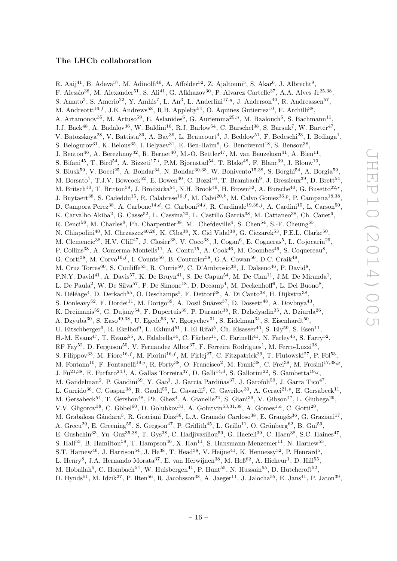### The LHCb collaboration

<span id="page-16-0"></span>R. Aaij $^{41}$ , B. Adeva $^{37}$ , M. Adinolfi $^{46}$ , A. Affolder $^{52}$ , Z. Ajaltouni $^5$ , S. Akar $^6$ , J. Albrecht $^9$ , F. Alessio<sup>38</sup>, M. Alexander<sup>51</sup>, S. Ali<sup>41</sup>, G. Alkhazov<sup>30</sup>, P. Alvarez Cartelle<sup>37</sup>, A.A. Alves Jr<sup>25,38</sup>, S. Amato<sup>2</sup>, S. Amerio<sup>22</sup>, Y. Amhis<sup>7</sup>, L. An<sup>3</sup>, L. Anderlini<sup>17,g</sup>, J. Anderson<sup>40</sup>, R. Andreassen<sup>57</sup>, M. Andreotti<sup>16,f</sup>, J.E. Andrews<sup>58</sup>, R.B. Appleby<sup>54</sup>, O. Aquines Gutierrez<sup>10</sup>, F. Archilli<sup>38</sup>, A. Artamonov<sup>35</sup>, M. Artuso<sup>59</sup>, E. Aslanides<sup>6</sup>, G. Auriemma<sup>25,n</sup>, M. Baalouch<sup>5</sup>, S. Bachmann<sup>11</sup>, J.J. Back<sup>48</sup>, A. Badalov<sup>36</sup>, W. Baldini<sup>16</sup>, R.J. Barlow<sup>54</sup>, C. Barschel<sup>38</sup>, S. Barsuk<sup>7</sup>, W. Barter<sup>47</sup>, V. Batozskaya<sup>28</sup>, V. Battista<sup>39</sup>, A. Bay<sup>39</sup>, L. Beaucourt<sup>4</sup>, J. Beddow<sup>51</sup>, F. Bedeschi<sup>23</sup>, I. Bediaga<sup>1</sup>, S. Belogurov<sup>31</sup>, K. Belous<sup>35</sup>, I. Belyaev<sup>31</sup>, E. Ben-Haim<sup>8</sup>, G. Bencivenni<sup>18</sup>, S. Benson<sup>38</sup>, J. Benton<sup>46</sup>, A. Berezhnoy<sup>32</sup>, R. Bernet<sup>40</sup>, M.-O. Bettler<sup>47</sup>, M. van Beuzekom<sup>41</sup>, A. Bien<sup>11</sup>, S. Bifani<sup>45</sup>, T. Bird<sup>54</sup>, A. Bizzeti<sup>17,*i*</sup>, P.M. Bjørnstad<sup>54</sup>, T. Blake<sup>48</sup>, F. Blanc<sup>39</sup>, J. Blouw<sup>10</sup>, S. Blusk<sup>59</sup>, V. Bocci<sup>25</sup>, A. Bondar<sup>34</sup>, N. Bondar<sup>30,38</sup>, W. Bonivento<sup>15,38</sup>, S. Borghi<sup>54</sup>, A. Borgia<sup>59</sup>, M. Borsato<sup>7</sup>, T.J.V. Bowcock<sup>52</sup>, E. Bowen<sup>40</sup>, C. Bozzi<sup>16</sup>, T. Brambach<sup>9</sup>, J. Bressieux<sup>39</sup>, D. Brett<sup>54</sup>, M. Britsch<sup>10</sup>, T. Britton<sup>59</sup>, J. Brodzicka<sup>54</sup>, N.H. Brook<sup>46</sup>, H. Brown<sup>52</sup>, A. Bursche<sup>40</sup>, G. Busetto<sup>22, r</sup>, J. Buytaert<sup>38</sup>, S. Cadeddu<sup>15</sup>, R. Calabrese<sup>16,f</sup>, M. Calvi<sup>20,k</sup>, M. Calvo Gomez<sup>36,p</sup>, P. Campana<sup>18,38</sup>, D. Campora Perez<sup>38</sup>, A. Carbone<sup>14,d</sup>, G. Carboni<sup>24,l</sup>, R. Cardinale<sup>19,38,j</sup>, A. Cardini<sup>15</sup>, L. Carson<sup>50</sup>, K. Carvalho Akiba<sup>2</sup>, G. Casse<sup>52</sup>, L. Cassina<sup>20</sup>, L. Castillo Garcia<sup>38</sup>, M. Cattaneo<sup>38</sup>, Ch. Cauet<sup>9</sup>, R. Cenci<sup>58</sup>, M. Charles<sup>8</sup>, Ph. Charpentier<sup>38</sup>, M. Chefdeville<sup>4</sup>, S. Chen<sup>54</sup>, S.-F. Cheung<sup>55</sup>, N. Chiapolini<sup>40</sup>, M. Chrzaszcz<sup>40,26</sup>, K. Ciba<sup>38</sup>, X. Cid Vidal<sup>38</sup>, G. Ciezarek<sup>53</sup>, P.E.L. Clarke<sup>50</sup>, M. Clemencic<sup>38</sup>, H.V. Cliff<sup>47</sup>, J. Closier<sup>38</sup>, V. Coco<sup>38</sup>, J. Cogan<sup>6</sup>, E. Cogneras<sup>5</sup>, L. Cojocariu<sup>29</sup>, P. Collins<sup>38</sup>, A. Comerma-Montells<sup>11</sup>, A. Contu<sup>15</sup>, A. Cook<sup>46</sup>, M. Coombes<sup>46</sup>, S. Coquereau<sup>8</sup>, G. Corti<sup>38</sup>, M. Corvo<sup>16,f</sup>, I. Counts<sup>56</sup>, B. Couturier<sup>38</sup>, G.A. Cowan<sup>50</sup>, D.C. Craik<sup>48</sup>, M. Cruz Torres<sup>60</sup>, S. Cunliffe<sup>53</sup>, R. Currie<sup>50</sup>, C. D'Ambrosio<sup>38</sup>, J. Dalseno<sup>46</sup>, P. David<sup>8</sup>, P.N.Y. David<sup>41</sup>, A. Davis<sup>57</sup>, K. De Bruyn<sup>41</sup>, S. De Capua<sup>54</sup>, M. De Cian<sup>11</sup>, J.M. De Miranda<sup>1</sup>, L. De Paula<sup>2</sup>, W. De Silva<sup>57</sup>, P. De Simone<sup>18</sup>, D. Decamp<sup>4</sup>, M. Deckenhoff<sup>9</sup>, L. Del Buono<sup>8</sup>, N. Déléage<sup>4</sup>, D. Derkach<sup>55</sup>, O. Deschamps<sup>5</sup>, F. Dettori<sup>38</sup>, A. Di Canto<sup>38</sup>, H. Dijkstra<sup>38</sup>, S. Donleavy<sup>52</sup>, F. Dordei<sup>11</sup>, M. Dorigo<sup>39</sup>, A. Dosil Suárez<sup>37</sup>, D. Dossett<sup>48</sup>, A. Dovbnya<sup>43</sup>, K. Dreimanis<sup>52</sup>, G. Dujany<sup>54</sup>, F. Dupertuis<sup>39</sup>, P. Durante<sup>38</sup>, R. Dzhelyadin<sup>35</sup>, A. Dziurda<sup>26</sup>, A. Dzyuba<sup>30</sup>, S. Easo<sup>49,38</sup>, U. Egede<sup>53</sup>, V. Egorychev<sup>31</sup>, S. Eidelman<sup>34</sup>, S. Eisenhardt<sup>50</sup>, U. Eitschberger<sup>9</sup>, R. Ekelhof<sup>9</sup>, L. Eklund<sup>51</sup>, I. El Rifai<sup>5</sup>, Ch. Elsasser<sup>40</sup>, S. Ely<sup>59</sup>, S. Esen<sup>11</sup>, H.-M. Evans<sup>47</sup>, T. Evans<sup>55</sup>, A. Falabella<sup>14</sup>, C. Färber<sup>11</sup>, C. Farinelli<sup>41</sup>, N. Farley<sup>45</sup>, S. Farry<sup>52</sup>, RF Fay<sup>52</sup>, D. Ferguson<sup>50</sup>, V. Fernandez Albor<sup>37</sup>, F. Ferreira Rodrigues<sup>1</sup>, M. Ferro-Luzzi<sup>38</sup>, S. Filippov<sup>33</sup>, M. Fiore<sup>16,f</sup>, M. Fiorini<sup>16,f</sup>, M. Firlej<sup>27</sup>, C. Fitzpatrick<sup>39</sup>, T. Fiutowski<sup>27</sup>, P. Fol<sup>53</sup>, M. Fontana<sup>10</sup>, F. Fontanelli<sup>19,j</sup>, R. Forty<sup>38</sup>, O. Francisco<sup>2</sup>, M. Frank<sup>38</sup>, C. Frei<sup>38</sup>, M. Frosini<sup>17,38,g</sup>, J. Fu<sup>21,38</sup>, E. Furfaro<sup>24,*l*</sup>, A. Gallas Torreira<sup>37</sup>, D. Galli<sup>14,*d*</sup>, S. Gallorini<sup>22</sup>, S. Gambetta<sup>19,*j*</sup>, M. Gandelman<sup>2</sup>, P. Gandini<sup>59</sup>, Y. Gao<sup>3</sup>, J. García Pardiñas<sup>37</sup>, J. Garofoli<sup>59</sup>, J. Garra Tico<sup>47</sup>, L. Garrido<sup>36</sup>, C. Gaspar<sup>38</sup>, R. Gauld<sup>55</sup>, L. Gavardi<sup>9</sup>, G. Gavrilov<sup>30</sup>, A. Geraci<sup>21,</sup><sup>v</sup>, E. Gersabeck<sup>11</sup>, M. Gersabeck<sup>54</sup>, T. Gershon<sup>48</sup>, Ph. Ghez<sup>4</sup>, A. Gianelle<sup>22</sup>, S. Gianì<sup>39</sup>, V. Gibson<sup>47</sup>, L. Giubega<sup>29</sup>, V.V. Gligorov<sup>38</sup>, C. Göbel<sup>60</sup>, D. Golubkov<sup>31</sup>, A. Golutvin<sup>53,31,38</sup>, A. Gomes<sup>1,a</sup>, C. Gotti<sup>20</sup>, M. Grabalosa Gándara<sup>5</sup>, R. Graciani Diaz<sup>36</sup>, L.A. Granado Cardoso<sup>38</sup>, E. Graugés<sup>36</sup>, G. Graziani<sup>17</sup>, A. Grecu<sup>29</sup>, E. Greening<sup>55</sup>, S. Gregson<sup>47</sup>, P. Griffith<sup>45</sup>, L. Grillo<sup>11</sup>, O. Grünberg<sup>62</sup>, B. Gui<sup>59</sup>, E. Gushchin<sup>33</sup>, Yu. Guz<sup>35,38</sup>, T. Gys<sup>38</sup>, C. Hadjivasiliou<sup>59</sup>, G. Haefeli<sup>39</sup>, C. Haen<sup>38</sup>, S.C. Haines<sup>47</sup>, S. Hall<sup>53</sup>, B. Hamilton<sup>58</sup>, T. Hampson<sup>46</sup>, X. Han<sup>11</sup>, S. Hansmann-Menzemer<sup>11</sup>, N. Harnew<sup>55</sup>, S.T. Harnew<sup>46</sup>, J. Harrison<sup>54</sup>, J. He<sup>38</sup>, T. Head<sup>38</sup>, V. Heijne<sup>41</sup>, K. Hennessy<sup>52</sup>, P. Henrard<sup>5</sup>, L. Henry<sup>8</sup>, J.A. Hernando Morata<sup>37</sup>, E. van Herwijnen<sup>38</sup>, M. He $6^{62}$ , A. Hicheur<sup>1</sup>, D. Hill<sup>55</sup>, M. Hoballah<sup>5</sup>, C. Hombach<sup>54</sup>, W. Hulsbergen<sup>41</sup>, P. Hunt<sup>55</sup>, N. Hussain<sup>55</sup>, D. Hutchcroft<sup>52</sup>, D. Hynds<sup>51</sup>, M. Idzik<sup>27</sup>, P. Ilten<sup>56</sup>, R. Jacobsson<sup>38</sup>, A. Jaeger<sup>11</sup>, J. Jalocha<sup>55</sup>, E. Jans<sup>41</sup>, P. Jaton<sup>39</sup>,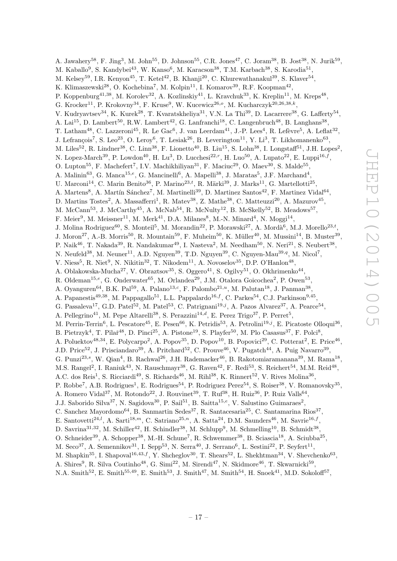A. Jawahery<sup>58</sup>, F. Jing<sup>3</sup>, M. John<sup>55</sup>, D. Johnson<sup>55</sup>, C.R. Jones<sup>47</sup>, C. Joram<sup>38</sup>, B. Jost<sup>38</sup>, N. Jurik<sup>59</sup>, M. Kaballo<sup>9</sup>, S. Kandybei<sup>43</sup>, W. Kanso<sup>6</sup>, M. Karacson<sup>38</sup>, T.M. Karbach<sup>38</sup>, S. Karodia<sup>51</sup>, M. Kelsey<sup>59</sup>, I.R. Kenyon<sup>45</sup>, T. Ketel<sup>42</sup>, B. Khanji<sup>20</sup>, C. Khurewathanakul<sup>39</sup>, S. Klaver<sup>54</sup>, K. Klimaszewski<sup>28</sup>, O. Kochebina<sup>7</sup>, M. Kolpin<sup>11</sup>, I. Komarov<sup>39</sup>, R.F. Koopman<sup>42</sup>, P. Koppenburg<sup>41,38</sup>, M. Korolev<sup>32</sup>, A. Kozlinskiy<sup>41</sup>, L. Kravchuk<sup>33</sup>, K. Kreplin<sup>11</sup>, M. Kreps<sup>48</sup>, G. Krocker<sup>11</sup>, P. Krokovny<sup>34</sup>, F. Kruse<sup>9</sup>, W. Kucewicz<sup>26,0</sup>, M. Kucharczyk<sup>20,26,38,k</sup>, V. Kudryavtsev<sup>34</sup>, K. Kurek<sup>28</sup>, T. Kvaratskheliya<sup>31</sup>, V.N. La Thi<sup>39</sup>, D. Lacarrere<sup>38</sup>, G. Lafferty<sup>54</sup>, A. Lai<sup>15</sup>, D. Lambert<sup>50</sup>, R.W. Lambert<sup>42</sup>, G. Lanfranchi<sup>18</sup>, C. Langenbruch<sup>48</sup>, B. Langhans<sup>38</sup>, T. Latham<sup>48</sup>, C. Lazzeroni<sup>45</sup>, R. Le Gac<sup>6</sup>, J. van Leerdam<sup>41</sup>, J.-P. Lees<sup>4</sup>, R. Lefèvre<sup>5</sup>, A. Leflat<sup>32</sup>, J. Lefrançois<sup>7</sup>, S. Leo<sup>23</sup>, O. Leroy<sup>6</sup>, T. Lesiak<sup>26</sup>, B. Leverington<sup>11</sup>, Y. Li<sup>3</sup>, T. Likhomanenko<sup>63</sup>, M. Liles<sup>52</sup>, R. Lindner<sup>38</sup>, C. Linn<sup>38</sup>, F. Lionetto<sup>40</sup>, B. Liu<sup>15</sup>, S. Lohn<sup>38</sup>, I. Longstaff<sup>51</sup>, J.H. Lopes<sup>2</sup>, N. Lopez-March<sup>39</sup>, P. Lowdon<sup>40</sup>, H. Lu<sup>3</sup>, D. Lucchesi<sup>22,r</sup>, H. Luo<sup>50</sup>, A. Lupato<sup>22</sup>, E. Luppi<sup>16,f</sup>, O. Lupton<sup>55</sup>, F. Machefert<sup>7</sup>, I.V. Machikhiliyan<sup>31</sup>, F. Maciuc<sup>29</sup>, O. Maev<sup>30</sup>, S. Malde<sup>55</sup>, A. Malinin<sup>63</sup>, G. Manca<sup>15,e</sup>, G. Mancinelli<sup>6</sup>, A. Mapelli<sup>38</sup>, J. Maratas<sup>5</sup>, J.F. Marchand<sup>4</sup>, U. Marconi<sup>14</sup>, C. Marin Benito<sup>36</sup>, P. Marino<sup>23,t</sup>, R. Märki<sup>39</sup>, J. Marks<sup>11</sup>, G. Martellotti<sup>25</sup>, A. Martens<sup>8</sup>, A. Martín Sánchez<sup>7</sup>, M. Martinelli<sup>39</sup>, D. Martinez Santos<sup>42</sup>, F. Martinez Vidal<sup>64</sup>, D. Martins Tostes<sup>2</sup>, A. Massafferri<sup>1</sup>, R. Matev<sup>38</sup>, Z. Mathe<sup>38</sup>, C. Matteuzzi<sup>20</sup>, A. Mazurov<sup>45</sup>, M. McCann<sup>53</sup>, J. McCarthy<sup>45</sup>, A. McNab<sup>54</sup>, R. McNulty<sup>12</sup>, B. McSkelly<sup>52</sup>, B. Meadows<sup>57</sup>, F. Meier<sup>9</sup>, M. Meissner<sup>11</sup>, M. Merk<sup>41</sup>, D.A. Milanes<sup>8</sup>, M.-N. Minard<sup>4</sup>, N. Moggi<sup>14</sup>, J. Molina Rodriguez<sup>60</sup>, S. Monteil<sup>5</sup>, M. Morandin<sup>22</sup>, P. Morawski<sup>27</sup>, A. Mordà<sup>6</sup>, M.J. Morello<sup>23,t</sup>, J. Moron<sup>27</sup>, A.-B. Morris<sup>50</sup>, R. Mountain<sup>59</sup>, F. Muheim<sup>50</sup>, K. Müller<sup>40</sup>, M. Mussini<sup>14</sup>, B. Muster<sup>39</sup>, P. Naik<sup>46</sup>, T. Nakada<sup>39</sup>, R. Nandakumar<sup>49</sup>, I. Nasteva<sup>2</sup>, M. Needham<sup>50</sup>, N. Neri<sup>21</sup>, S. Neubert<sup>38</sup>, N. Neufeld<sup>38</sup>, M. Neuner<sup>11</sup>, A.D. Nguyen<sup>39</sup>, T.D. Nguyen<sup>39</sup>, C. Nguyen-Mau<sup>39,q</sup>, M. Nicol<sup>7</sup>, V. Niess<sup>5</sup>, R. Niet<sup>9</sup>, N. Nikitin<sup>32</sup>, T. Nikodem<sup>11</sup>, A. Novoselov<sup>35</sup>, D.P. O'Hanlon<sup>48</sup>, A. Oblakowska-Mucha<sup>27</sup>, V. Obraztsov<sup>35</sup>, S. Oggero<sup>41</sup>, S. Ogilvy<sup>51</sup>, O. Okhrimenko<sup>44</sup>, R. Oldeman<sup>15,e</sup>, G. Onderwater<sup>65</sup>, M. Orlandea<sup>29</sup>, J.M. Otalora Goicochea<sup>2</sup>, P. Owen<sup>53</sup>, A. Oyanguren<sup>64</sup>, B.K. Pal<sup>59</sup>, A. Palano<sup>13,c</sup>, F. Palombo<sup>21,u</sup>, M. Palutan<sup>18</sup>, J. Panman<sup>38</sup>, A. Papanestis<sup>49,38</sup>, M. Pappagallo<sup>51</sup>, L.L. Pappalardo<sup>16,f</sup>, C. Parkes<sup>54</sup>, C.J. Parkinson<sup>9,45</sup>, G. Passaleva<sup>17</sup>, G.D. Patel<sup>52</sup>, M. Patel<sup>53</sup>, C. Patrignani<sup>19,j</sup>, A. Pazos Alvarez<sup>37</sup>, A. Pearce<sup>54</sup>, A. Pellegrino<sup>41</sup>, M. Pepe Altarelli<sup>38</sup>, S. Perazzini<sup>14,d</sup>, E. Perez Trigo<sup>37</sup>, P. Perret<sup>5</sup>, M. Perrin-Terrin<sup>6</sup>, L. Pescatore<sup>45</sup>, E. Pesen<sup>66</sup>, K. Petridis<sup>53</sup>, A. Petrolini<sup>19,j</sup>, E. Picatoste Olloqui<sup>36</sup>, B. Pietrzyk<sup>4</sup>, T. Pilař<sup>48</sup>, D. Pinci<sup>25</sup>, A. Pistone<sup>19</sup>, S. Playfer<sup>50</sup>, M. Plo Casasus<sup>37</sup>, F. Polci<sup>8</sup>, A. Poluektov<sup>48,34</sup>, E. Polycarpo<sup>2</sup>, A. Popov<sup>35</sup>, D. Popov<sup>10</sup>, B. Popovici<sup>29</sup>, C. Potterat<sup>2</sup>, E. Price<sup>46</sup>, J.D. Price<sup>52</sup>, J. Prisciandaro<sup>39</sup>, A. Pritchard<sup>52</sup>, C. Prouve<sup>46</sup>, V. Pugatch<sup>44</sup>, A. Puig Navarro<sup>39</sup>, G. Punzi<sup>23,s</sup>, W. Qian<sup>4</sup>, B. Rachwal<sup>26</sup>, J.H. Rademacker<sup>46</sup>, B. Rakotomiaramanana<sup>39</sup>, M. Rama<sup>18</sup>, M.S. Rangel<sup>2</sup>, I. Raniuk<sup>43</sup>, N. Rauschmayr<sup>38</sup>, G. Raven<sup>42</sup>, F. Redi<sup>53</sup>, S. Reichert<sup>54</sup>, M.M. Reid<sup>48</sup>, A.C. dos Reis<sup>1</sup>, S. Ricciardi<sup>49</sup>, S. Richards<sup>46</sup>, M. Rihl<sup>38</sup>, K. Rinnert<sup>52</sup>, V. Rives Molina<sup>36</sup>, P. Robbe<sup>7</sup>, A.B. Rodrigues<sup>1</sup>, E. Rodrigues<sup>54</sup>, P. Rodriguez Perez<sup>54</sup>, S. Roiser<sup>38</sup>, V. Romanovsky<sup>35</sup>, A. Romero Vidal<sup>37</sup>, M. Rotondo<sup>22</sup>, J. Rouvinet<sup>39</sup>, T. Ruf<sup>38</sup>, H. Ruiz<sup>36</sup>, P. Ruiz Valls<sup>64</sup>, J.J. Saborido Silva<sup>37</sup>, N. Sagidova<sup>30</sup>, P. Sail<sup>51</sup>, B. Saitta<sup>15,e</sup>, V. Salustino Guimaraes<sup>2</sup>, C. Sanchez Mayordomo<sup>64</sup>, B. Sanmartin Sedes<sup>37</sup>, R. Santacesaria<sup>25</sup>, C. Santamarina Rios<sup>37</sup>, E. Santovetti<sup>24,*l*</sup>, A. Sarti<sup>18,*m*</sup>, C. Satriano<sup>25,*n*</sup>, A. Satta<sup>24</sup>, D.M. Saunders<sup>46</sup>, M. Savrie<sup>16,f</sup>, D. Savrina<sup>31,32</sup>, M. Schiller<sup>42</sup>, H. Schindler<sup>38</sup>, M. Schlupp<sup>9</sup>, M. Schmelling<sup>10</sup>, B. Schmidt<sup>38</sup>, O. Schneider<sup>39</sup>, A. Schopper<sup>38</sup>, M.-H. Schune<sup>7</sup>, R. Schwemmer<sup>38</sup>, B. Sciascia<sup>18</sup>, A. Sciubba<sup>25</sup>, M. Seco<sup>37</sup>, A. Semennikov<sup>31</sup>, I. Sepp<sup>53</sup>, N. Serra<sup>40</sup>, J. Serrano<sup>6</sup>, L. Sestini<sup>22</sup>, P. Seyfert<sup>11</sup>, M. Shapkin<sup>35</sup>, I. Shapoval<sup>16,43,f</sup>, Y. Shcheglov<sup>30</sup>, T. Shears<sup>52</sup>, L. Shekhtman<sup>34</sup>, V. Shevchenko<sup>63</sup>, A. Shires<sup>9</sup>, R. Silva Coutinho<sup>48</sup>, G. Simi<sup>22</sup>, M. Sirendi<sup>47</sup>, N. Skidmore<sup>46</sup>, T. Skwarnicki<sup>59</sup>,

N.A. Smith<sup>52</sup>, E. Smith<sup>55,49</sup>, E. Smith<sup>53</sup>, J. Smith<sup>47</sup>, M. Smith<sup>54</sup>, H. Snoek<sup>41</sup>, M.D. Sokoloff<sup>57</sup>,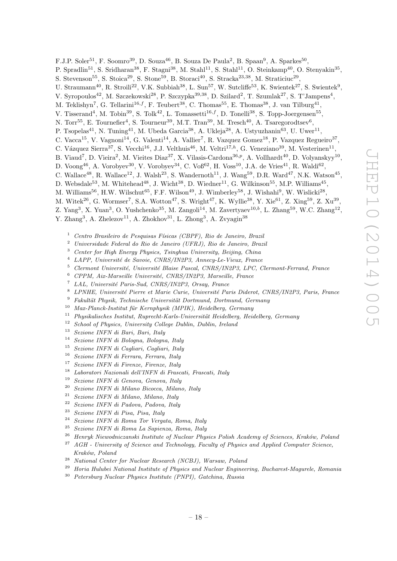F.J.P. Soler<sup>51</sup>, F. Soomro<sup>39</sup>, D. Souza<sup>46</sup>, B. Souza De Paula<sup>2</sup>, B. Spaan<sup>9</sup>, A. Sparkes<sup>50</sup>,

- P. Spradlin<sup>51</sup>, S. Sridharan<sup>38</sup>, F. Stagni<sup>38</sup>, M. Stahl<sup>11</sup>, S. Stahl<sup>11</sup>, O. Steinkamp<sup>40</sup>, O. Stenyakin<sup>35</sup>,
- S. Stevenson<sup>55</sup>, S. Stoica<sup>29</sup>, S. Stone<sup>59</sup>, B. Storaci<sup>40</sup>, S. Stracka<sup>23,38</sup>, M. Straticiuc<sup>29</sup>,
- U. Straumann<sup>40</sup>, R. Stroili<sup>22</sup>, V.K. Subbiah<sup>38</sup>, L. Sun<sup>57</sup>, W. Sutcliffe<sup>53</sup>, K. Swientek<sup>27</sup>, S. Swientek<sup>9</sup>,
- V. Syropoulos<sup>42</sup>, M. Szczekowski<sup>28</sup>, P. Szczypka<sup>39,38</sup>, D. Szilard<sup>2</sup>, T. Szumlak<sup>27</sup>, S. T'Jampens<sup>4</sup>,
- M. Teklishyn<sup>7</sup>, G. Tellarini<sup>16,f</sup>, F. Teubert<sup>38</sup>, C. Thomas<sup>55</sup>, E. Thomas<sup>38</sup>, J. van Tilburg<sup>41</sup>,
- V. Tisserand<sup>4</sup>, M. Tobin<sup>39</sup>, S. Tolk<sup>42</sup>, L. Tomassetti<sup>16,f</sup>, D. Tonelli<sup>38</sup>, S. Topp-Joergensen<sup>55</sup>,
- N. Torr<sup>55</sup>, E. Tournefier<sup>4</sup>, S. Tourneur<sup>39</sup>, M.T. Tran<sup>39</sup>, M. Tresch<sup>40</sup>, A. Tsaregorodtsev<sup>6</sup>,
- P. Tsopelas<sup>41</sup>, N. Tuning<sup>41</sup>, M. Ubeda Garcia<sup>38</sup>, A. Ukleja<sup>28</sup>, A. Ustyuzhanin<sup>63</sup>, U. Uwer<sup>11</sup>,
- C. Vacca<sup>15</sup>, V. Vagnoni<sup>14</sup>, G. Valenti<sup>14</sup>, A. Vallier<sup>7</sup>, R. Vazquez Gomez<sup>18</sup>, P. Vazquez Regueiro<sup>37</sup>,
- C. Vázquez Sierra<sup>37</sup>, S. Vecchi<sup>16</sup>, J.J. Velthuis<sup>46</sup>, M. Veltri<sup>17,h</sup>, G. Veneziano<sup>39</sup>, M. Vesterinen<sup>11</sup>,
- B. Viaud<sup>7</sup>, D. Vieira<sup>2</sup>, M. Vieites Diaz<sup>37</sup>, X. Vilasis-Cardona<sup>36,p</sup>, A. Vollhardt<sup>40</sup>, D. Volyanskyy<sup>10</sup>,
- D. Voong<sup>46</sup>, A. Vorobyev<sup>30</sup>, V. Vorobyev<sup>34</sup>, C. Voß<sup>62</sup>, H. Voss<sup>10</sup>, J.A. de Vries<sup>41</sup>, R. Waldi<sup>62</sup>,
- C. Wallace<sup>48</sup>, R. Wallace<sup>12</sup>, J. Walsh<sup>23</sup>, S. Wandernoth<sup>11</sup>, J. Wang<sup>59</sup>, D.R. Ward<sup>47</sup>, N.K. Watson<sup>45</sup>,
- D. Websdale<sup>53</sup>, M. Whitehead<sup>48</sup>, J. Wicht<sup>38</sup>, D. Wiedner<sup>11</sup>, G. Wilkinson<sup>55</sup>, M.P. Williams<sup>45</sup>,
- M. Williams $^{56}$ , H.W. Wilschut $^{65}$ , F.F. Wilson $^{49}$ , J. Wimberley $^{58}$ , J. Wishahi $^9$ , W. Wislicki $^{28}$ ,
- M. Witek<sup>26</sup>, G. Wormser<sup>7</sup>, S.A. Wotton<sup>47</sup>, S. Wright<sup>47</sup>, K. Wyllie<sup>38</sup>, Y. Xie<sup>61</sup>, Z. Xing<sup>59</sup>, Z. Xu<sup>39</sup>,
- Z. Yang<sup>3</sup>, X. Yuan<sup>3</sup>, O. Yushchenko<sup>35</sup>, M. Zangoli<sup>14</sup>, M. Zavertyaev<sup>10,b</sup>, L. Zhang<sup>59</sup>, W.C. Zhang<sup>12</sup>,
- Y. Zhang<sup>3</sup>, A. Zhelezov<sup>11</sup>, A. Zhokhov<sup>31</sup>, L. Zhong<sup>3</sup>, A. Zvyagin<sup>38</sup>
	- Centro Brasileiro de Pesquisas Físicas (CBPF), Rio de Janeiro, Brazil
	- <sup>2</sup> Universidade Federal do Rio de Janeiro (UFRJ), Rio de Janeiro, Brazil
	- <sup>3</sup> Center for High Energy Physics, Tsinghua University, Beijing, China
	- $4$  LAPP, Université de Savoie, CNRS/IN2P3, Annecy-Le-Vieux, France
	- $5$  Clermont Université, Université Blaise Pascal, CNRS/IN2P3, LPC, Clermont-Ferrand, France
	- $6$  CPPM, Aix-Marseille Université, CNRS/IN2P3, Marseille, France
	- $^7$  LAL, Université Paris-Sud, CNRS/IN2P3, Orsay, France
	- <sup>8</sup> LPNHE, Université Pierre et Marie Curie, Université Paris Diderot, CNRS/IN2P3, Paris, France
	- $9$  Fakultät Physik, Technische Universität Dortmund, Dortmund, Germany
	- $10$  Max-Planck-Institut für Kernphysik (MPIK), Heidelberg, Germany
	- <sup>11</sup> Physikalisches Institut, Ruprecht-Karls-Universität Heidelberg, Heidelberg, Germany
	- <sup>12</sup> School of Physics, University College Dublin, Dublin, Ireland<br><sup>13</sup> Sexians INEN di Pari, Pari, Italy
	- <sup>13</sup> Sezione INFN di Bari, Bari, Italy<br><sup>14</sup> Sezione INFN di Boleana, Bolean
	- <sup>14</sup> Sezione INFN di Bologna, Bologna, Italy
	- <sup>15</sup> Sezione INFN di Cagliari, Cagliari, Italy
	- <sup>16</sup> Sezione INFN di Ferrara, Ferrara, Italy
	- <sup>17</sup> Sezione INFN di Firenze, Firenze, Italy
	- <sup>18</sup> Laboratori Nazionali dell'INFN di Frascati, Frascati, Italy
	- <sup>19</sup> Sezione INFN di Genova, Genova, Italy
	- <sup>20</sup> Sezione INFN di Milano Bicocca, Milano, Italy
	- <sup>21</sup> Sezione INFN di Milano, Milano, Italy
	- <sup>22</sup> Sezione INFN di Padova, Padova, Italy
	- <sup>23</sup> Sezione INFN di Pisa, Pisa, Italy
	- <sup>24</sup> Sezione INFN di Roma Tor Vergata, Roma, Italy<br> $\frac{25}{5}$  Series INFN di Roma La Series no Roma Italy
	- <sup>25</sup> Sezione INFN di Roma La Sapienza, Roma, Italy
	- $26$  Henryk Niewodniczanski Institute of Nuclear Physics Polish Academy of Sciences, Kraków, Poland
	- $27$  AGH University of Science and Technology, Faculty of Physics and Applied Computer Science, Kraków, Poland
	- <sup>28</sup> National Center for Nuclear Research (NCBJ), Warsaw, Poland
	- <sup>29</sup> Horia Hulubei National Institute of Physics and Nuclear Engineering, Bucharest-Magurele, Romania
	- <sup>30</sup> Petersburg Nuclear Physics Institute (PNPI), Gatchina, Russia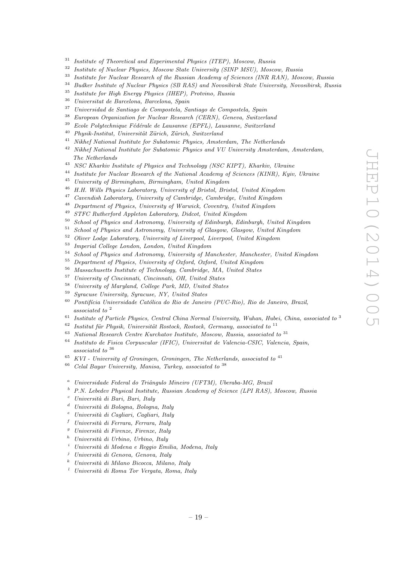- <sup>31</sup> Institute of Theoretical and Experimental Physics (ITEP), Moscow, Russia
- <sup>32</sup> Institute of Nuclear Physics, Moscow State University (SINP MSU), Moscow, Russia
- <sup>33</sup> Institute for Nuclear Research of the Russian Academy of Sciences (INR RAN), Moscow, Russia
- <sup>34</sup> Budker Institute of Nuclear Physics (SB RAS) and Novosibirsk State University, Novosibirsk, Russia<br><sup>35</sup> Institute for High Energy Physics (HEP), Protying, Puscia
- <sup>35</sup> Institute for High Energy Physics (IHEP), Protvino, Russia
- $36$  Universitat de Barcelona, Barcelona, Spain<br> $37$  Universited de Septiese de Compostele, Sep
- <sup>37</sup> Universidad de Santiago de Compostela, Santiago de Compostela, Spain
- <sup>38</sup> European Organization for Nuclear Research (CERN), Geneva, Switzerland
- Ecole Polytechnique Fédérale de Lausanne (EPFL), Lausanne, Switzerland
- $^{40}$  Physik-Institut, Universität Zürich, Zürich, Switzerland
- <sup>41</sup> Nikhef National Institute for Subatomic Physics, Amsterdam, The Netherlands
- <sup>42</sup> Nikhef National Institute for Subatomic Physics and VU University Amsterdam, Amsterdam, The Netherlands
- <sup>43</sup> NSC Kharkiv Institute of Physics and Technology (NSC KIPT), Kharkiv, Ukraine
- <sup>44</sup> Institute for Nuclear Research of the National Academy of Sciences (KINR), Kyiv, Ukraine
- <sup>45</sup> University of Birmingham, Birmingham, United Kingdom
- <sup>46</sup> H.H. Wills Physics Laboratory, University of Bristol, Bristol, United Kingdom
- $47$  Cavendish Laboratory, University of Cambridge, Cambridge, United Kingdom
- $^{48}$  Department of Physics, University of Warwick, Coventry, United Kingdom
- <sup>49</sup> STFC Rutherford Appleton Laboratory, Didcot, United Kingdom
- <sup>50</sup> School of Physics and Astronomy, University of Edinburgh, Edinburgh, United Kingdom
- <sup>51</sup> School of Physics and Astronomy, University of Glasgow, Glasgow, United Kingdom
- <sup>52</sup> Oliver Lodge Laboratory, University of Liverpool, Liverpool, United Kingdom
- $^{53}$  Imperial College London, London, United Kingdom<br> $^{54}$  School of Physics and Astronomy, University of Ma
- <sup>54</sup> School of Physics and Astronomy, University of Manchester, Manchester, United Kingdom
- <sup>55</sup> Department of Physics, University of Oxford, Oxford, United Kingdom
- <sup>56</sup> Massachusetts Institute of Technology, Cambridge, MA, United States
- <sup>57</sup> University of Cincinnati, Cincinnati, OH, United States
- <sup>58</sup> University of Maryland, College Park, MD, United States
- <sup>59</sup> Syracuse University, Syracuse, NY, United States
- $60$  Pontifícia Universidade Católica do Rio de Janeiro (PUC-Rio), Rio de Janeiro, Brazil, associated to <sup>2</sup>
- <sup>61</sup> Institute of Particle Physics, Central China Normal University, Wuhan, Hubei, China, associated to <sup>3</sup><br><sup>62</sup> Institut für Physik, Universität Peeteek, Peeteek, Cermany, associated to <sup>11</sup>
- Institut für Physik, Universität Rostock, Rostock, Germany, associated to  $^{11}$
- $63$  National Research Centre Kurchatov Institute, Moscow, Russia, associated to  $31$
- <sup>64</sup> Instituto de Fisica Corpuscular (IFIC), Universitat de Valencia-CSIC, Valencia, Spain,  $associated\ to\ ^{36}$
- $65$  KVI University of Groningen, Groningen, The Netherlands, associated to  $41$
- $66$  Celal Bayar University, Manisa, Turkey, associated to  $38$
- <sup>a</sup> Universidade Federal do Triângulo Mineiro (UFTM), Uberaba-MG, Brazil
- $b$  P.N. Lebedev Physical Institute, Russian Academy of Science (LPI RAS), Moscow, Russia
- Università di Bari, Bari, Italy
- $d$  Università di Bologna, Bologna, Italy
- Università di Cagliari, Cagliari, Italy
- $f$  Università di Ferrara, Ferrara, Italy
- $g$  Università di Firenze, Firenze, Italy
- Università di Urbino, Urbino, Italy
- <sup>i</sup> Universit`a di Modena e Reggio Emilia, Modena, Italy
- Università di Genova, Genova, Italy
- $k$  Università di Milano Bicocca, Milano, Italy
- $l$  Università di Roma Tor Vergata, Roma, Italy